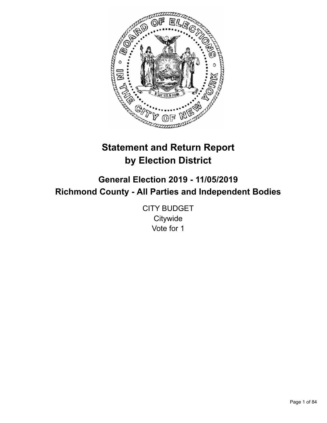

# **Statement and Return Report by Election District**

**General Election 2019 - 11/05/2019 Richmond County - All Parties and Independent Bodies**

> CITY BUDGET **Citywide** Vote for 1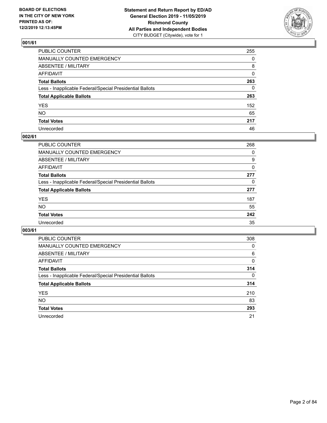

| PUBLIC COUNTER                                           | 255      |
|----------------------------------------------------------|----------|
| MANUALLY COUNTED EMERGENCY                               | $\Omega$ |
| ABSENTEE / MILITARY                                      | 8        |
| AFFIDAVIT                                                | 0        |
| Total Ballots                                            | 263      |
| Less - Inapplicable Federal/Special Presidential Ballots | 0        |
| <b>Total Applicable Ballots</b>                          | 263      |
| YES                                                      | 152      |
| NO.                                                      | 65       |
| <b>Total Votes</b>                                       | 217      |
| Unrecorded                                               | 46       |

### **002/61**

| <b>PUBLIC COUNTER</b>                                    | 268 |
|----------------------------------------------------------|-----|
| <b>MANUALLY COUNTED EMERGENCY</b>                        | 0   |
| ABSENTEE / MILITARY                                      | 9   |
| AFFIDAVIT                                                | 0   |
| <b>Total Ballots</b>                                     | 277 |
| Less - Inapplicable Federal/Special Presidential Ballots | 0   |
| <b>Total Applicable Ballots</b>                          | 277 |
| <b>YES</b>                                               | 187 |
| <b>NO</b>                                                | 55  |
| <b>Total Votes</b>                                       | 242 |
| Unrecorded                                               | 35  |

| <b>PUBLIC COUNTER</b>                                    | 308      |
|----------------------------------------------------------|----------|
| MANUALLY COUNTED EMERGENCY                               | $\Omega$ |
| ABSENTEE / MILITARY                                      | 6        |
| AFFIDAVIT                                                | 0        |
| <b>Total Ballots</b>                                     | 314      |
| Less - Inapplicable Federal/Special Presidential Ballots | $\Omega$ |
| <b>Total Applicable Ballots</b>                          | 314      |
| <b>YES</b>                                               | 210      |
| NO.                                                      | 83       |
| <b>Total Votes</b>                                       | 293      |
| Unrecorded                                               | 21       |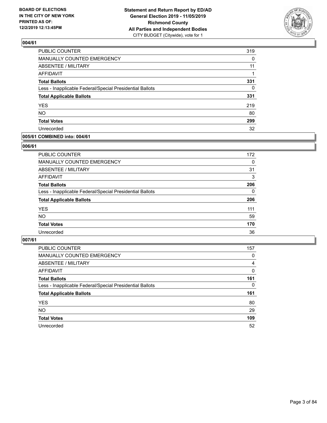

| PUBLIC COUNTER                                           | 319      |
|----------------------------------------------------------|----------|
| MANUALLY COUNTED EMERGENCY                               | 0        |
| ABSENTEE / MILITARY                                      | 11       |
| <b>AFFIDAVIT</b>                                         | 1        |
| <b>Total Ballots</b>                                     | 331      |
| Less - Inapplicable Federal/Special Presidential Ballots | $\Omega$ |
| <b>Total Applicable Ballots</b>                          | 331      |
| <b>YES</b>                                               | 219      |
| <b>NO</b>                                                | 80       |
| <b>Total Votes</b>                                       | 299      |
| Unrecorded                                               | 32       |

### **005/61 COMBINED into: 004/61**

### **006/61**

| <b>PUBLIC COUNTER</b>                                    | 172      |
|----------------------------------------------------------|----------|
| <b>MANUALLY COUNTED EMERGENCY</b>                        | $\Omega$ |
| ABSENTEE / MILITARY                                      | 31       |
| AFFIDAVIT                                                | 3        |
| <b>Total Ballots</b>                                     | 206      |
| Less - Inapplicable Federal/Special Presidential Ballots | $\Omega$ |
| <b>Total Applicable Ballots</b>                          | 206      |
| <b>YES</b>                                               | 111      |
| <b>NO</b>                                                | 59       |
| <b>Total Votes</b>                                       | 170      |
| Unrecorded                                               | 36       |
|                                                          |          |

| <b>PUBLIC COUNTER</b>                                    | 157      |
|----------------------------------------------------------|----------|
| MANUALLY COUNTED EMERGENCY                               | 0        |
| ABSENTEE / MILITARY                                      | 4        |
| AFFIDAVIT                                                | $\Omega$ |
| <b>Total Ballots</b>                                     | 161      |
| Less - Inapplicable Federal/Special Presidential Ballots | $\Omega$ |
| <b>Total Applicable Ballots</b>                          | 161      |
| <b>YES</b>                                               | 80       |
| <b>NO</b>                                                | 29       |
| <b>Total Votes</b>                                       | 109      |
| Unrecorded                                               | 52       |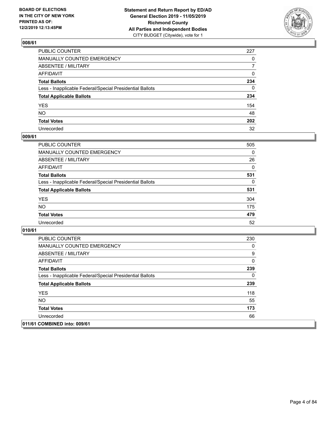

| PUBLIC COUNTER                                           | 227          |
|----------------------------------------------------------|--------------|
| MANUALLY COUNTED EMERGENCY                               | $\mathbf{0}$ |
| ABSENTEE / MILITARY                                      | 7            |
| AFFIDAVIT                                                | 0            |
| Total Ballots                                            | 234          |
| Less - Inapplicable Federal/Special Presidential Ballots | 0            |
| <b>Total Applicable Ballots</b>                          | 234          |
| YES                                                      | 154          |
| NO.                                                      | 48           |
| <b>Total Votes</b>                                       | 202          |
| Unrecorded                                               | 32           |

### **009/61**

| PUBLIC COUNTER                                           | 505      |
|----------------------------------------------------------|----------|
| <b>MANUALLY COUNTED EMERGENCY</b>                        | $\Omega$ |
| <b>ABSENTEE / MILITARY</b>                               | 26       |
| <b>AFFIDAVIT</b>                                         | $\Omega$ |
| <b>Total Ballots</b>                                     | 531      |
| Less - Inapplicable Federal/Special Presidential Ballots | 0        |
| <b>Total Applicable Ballots</b>                          | 531      |
| <b>YES</b>                                               | 304      |
| <b>NO</b>                                                | 175      |
| <b>Total Votes</b>                                       | 479      |
| Unrecorded                                               | 52       |

| <b>PUBLIC COUNTER</b>                                    | 230 |
|----------------------------------------------------------|-----|
| <b>MANUALLY COUNTED EMERGENCY</b>                        | 0   |
| ABSENTEE / MILITARY                                      | 9   |
| AFFIDAVIT                                                | 0   |
| <b>Total Ballots</b>                                     | 239 |
| Less - Inapplicable Federal/Special Presidential Ballots | 0   |
| <b>Total Applicable Ballots</b>                          | 239 |
| <b>YES</b>                                               | 118 |
| NO.                                                      | 55  |
| <b>Total Votes</b>                                       | 173 |
| Unrecorded                                               | 66  |
| 011/61 COMBINED into: 009/61                             |     |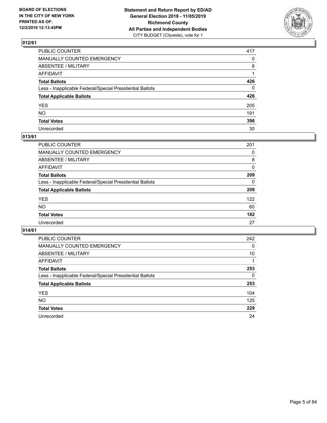

| PUBLIC COUNTER                                           | 417          |
|----------------------------------------------------------|--------------|
| MANUALLY COUNTED EMERGENCY                               | $\mathbf{0}$ |
| ABSENTEE / MILITARY                                      | 8            |
| AFFIDAVIT                                                |              |
| Total Ballots                                            | 426          |
| Less - Inapplicable Federal/Special Presidential Ballots | 0            |
| <b>Total Applicable Ballots</b>                          | 426          |
| YES                                                      | 205          |
| NO.                                                      | 191          |
| <b>Total Votes</b>                                       | 396          |
| Unrecorded                                               | 30           |

### **013/61**

| <b>PUBLIC COUNTER</b>                                    | 201      |
|----------------------------------------------------------|----------|
| MANUALLY COUNTED EMERGENCY                               | 0        |
| ABSENTEE / MILITARY                                      | 8        |
| AFFIDAVIT                                                | 0        |
| <b>Total Ballots</b>                                     | 209      |
| Less - Inapplicable Federal/Special Presidential Ballots | $\Omega$ |
| <b>Total Applicable Ballots</b>                          | 209      |
| <b>YES</b>                                               | 122      |
| <b>NO</b>                                                | 60       |
| <b>Total Votes</b>                                       | 182      |
| Unrecorded                                               | 27       |

| <b>PUBLIC COUNTER</b>                                    | 242 |
|----------------------------------------------------------|-----|
| MANUALLY COUNTED EMERGENCY                               | 0   |
| ABSENTEE / MILITARY                                      | 10  |
| AFFIDAVIT                                                |     |
| <b>Total Ballots</b>                                     | 253 |
| Less - Inapplicable Federal/Special Presidential Ballots | 0   |
| <b>Total Applicable Ballots</b>                          | 253 |
| <b>YES</b>                                               | 104 |
| NO.                                                      | 125 |
| <b>Total Votes</b>                                       | 229 |
| Unrecorded                                               | 24  |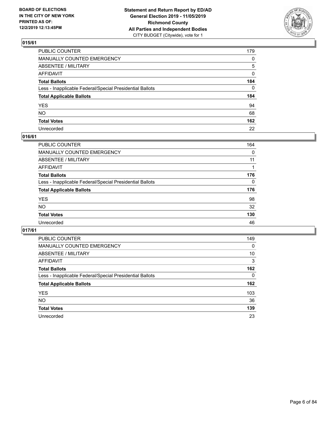

| PUBLIC COUNTER                                           | 179 |
|----------------------------------------------------------|-----|
| MANUALLY COUNTED EMERGENCY                               | 0   |
| ABSENTEE / MILITARY                                      | 5   |
| AFFIDAVIT                                                | 0   |
| Total Ballots                                            | 184 |
| Less - Inapplicable Federal/Special Presidential Ballots | 0   |
| <b>Total Applicable Ballots</b>                          | 184 |
| YES                                                      | 94  |
| NO.                                                      | 68  |
| <b>Total Votes</b>                                       | 162 |
| Unrecorded                                               | 22  |

### **016/61**

| PUBLIC COUNTER                                           | 164          |
|----------------------------------------------------------|--------------|
| MANUALLY COUNTED EMERGENCY                               | 0            |
| ABSENTEE / MILITARY                                      | 11           |
| AFFIDAVIT                                                |              |
| <b>Total Ballots</b>                                     | 176          |
| Less - Inapplicable Federal/Special Presidential Ballots | $\mathbf{0}$ |
| <b>Total Applicable Ballots</b>                          | 176          |
| <b>YES</b>                                               | 98           |
| <b>NO</b>                                                | 32           |
| <b>Total Votes</b>                                       | 130          |
| Unrecorded                                               | 46           |

| <b>PUBLIC COUNTER</b>                                    | 149 |
|----------------------------------------------------------|-----|
| MANUALLY COUNTED EMERGENCY                               | 0   |
| ABSENTEE / MILITARY                                      | 10  |
| AFFIDAVIT                                                | 3   |
| <b>Total Ballots</b>                                     | 162 |
| Less - Inapplicable Federal/Special Presidential Ballots | 0   |
| <b>Total Applicable Ballots</b>                          | 162 |
| <b>YES</b>                                               | 103 |
| NO.                                                      | 36  |
| <b>Total Votes</b>                                       | 139 |
| Unrecorded                                               | 23  |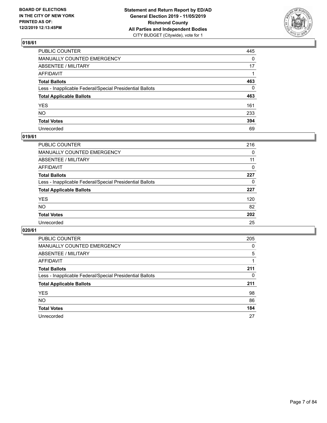

| PUBLIC COUNTER                                           | 445          |
|----------------------------------------------------------|--------------|
| MANUALLY COUNTED EMERGENCY                               | $\mathbf{0}$ |
| ABSENTEE / MILITARY                                      | 17           |
| AFFIDAVIT                                                |              |
| Total Ballots                                            | 463          |
| Less - Inapplicable Federal/Special Presidential Ballots | 0            |
| <b>Total Applicable Ballots</b>                          | 463          |
| YES                                                      | 161          |
| NO.                                                      | 233          |
| <b>Total Votes</b>                                       | 394          |
| Unrecorded                                               | 69           |

### **019/61**

| <b>PUBLIC COUNTER</b>                                    | 216      |
|----------------------------------------------------------|----------|
| <b>MANUALLY COUNTED EMERGENCY</b>                        | $\Omega$ |
| ABSENTEE / MILITARY                                      | 11       |
| AFFIDAVIT                                                | 0        |
| <b>Total Ballots</b>                                     | 227      |
| Less - Inapplicable Federal/Special Presidential Ballots | 0        |
| <b>Total Applicable Ballots</b>                          | 227      |
| <b>YES</b>                                               | 120      |
| <b>NO</b>                                                | 82       |
| <b>Total Votes</b>                                       | 202      |
| Unrecorded                                               | 25       |

| <b>PUBLIC COUNTER</b>                                    | 205 |
|----------------------------------------------------------|-----|
| <b>MANUALLY COUNTED EMERGENCY</b>                        | 0   |
| ABSENTEE / MILITARY                                      | 5   |
| AFFIDAVIT                                                |     |
| <b>Total Ballots</b>                                     | 211 |
| Less - Inapplicable Federal/Special Presidential Ballots | 0   |
| <b>Total Applicable Ballots</b>                          | 211 |
| <b>YES</b>                                               | 98  |
| NO.                                                      | 86  |
| <b>Total Votes</b>                                       | 184 |
| Unrecorded                                               | 27  |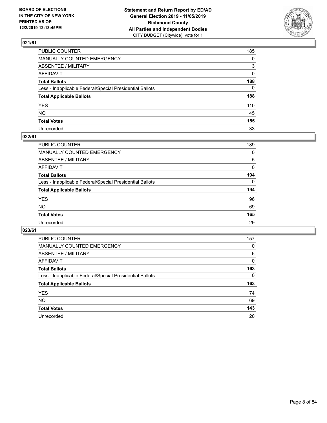

| PUBLIC COUNTER                                           | 185          |
|----------------------------------------------------------|--------------|
| MANUALLY COUNTED EMERGENCY                               | $\mathbf{0}$ |
| ABSENTEE / MILITARY                                      | 3            |
| AFFIDAVIT                                                | $\mathbf{0}$ |
| Total Ballots                                            | 188          |
| Less - Inapplicable Federal/Special Presidential Ballots | $\Omega$     |
| <b>Total Applicable Ballots</b>                          | 188          |
| YES                                                      | 110          |
| NΟ                                                       | 45           |
| <b>Total Votes</b>                                       | 155          |
| Unrecorded                                               | 33           |

### **022/61**

| <b>PUBLIC COUNTER</b>                                    | 189      |
|----------------------------------------------------------|----------|
| <b>MANUALLY COUNTED EMERGENCY</b>                        | 0        |
| ABSENTEE / MILITARY                                      | 5        |
| AFFIDAVIT                                                | 0        |
| <b>Total Ballots</b>                                     | 194      |
| Less - Inapplicable Federal/Special Presidential Ballots | $\Omega$ |
| <b>Total Applicable Ballots</b>                          | 194      |
| <b>YES</b>                                               | 96       |
| <b>NO</b>                                                | 69       |
| <b>Total Votes</b>                                       | 165      |
| Unrecorded                                               | 29       |

| <b>PUBLIC COUNTER</b>                                    | 157      |
|----------------------------------------------------------|----------|
| MANUALLY COUNTED EMERGENCY                               | 0        |
| ABSENTEE / MILITARY                                      | 6        |
| AFFIDAVIT                                                | $\Omega$ |
| <b>Total Ballots</b>                                     | 163      |
| Less - Inapplicable Federal/Special Presidential Ballots | $\Omega$ |
| <b>Total Applicable Ballots</b>                          | 163      |
| <b>YES</b>                                               | 74       |
| NO.                                                      | 69       |
| <b>Total Votes</b>                                       | 143      |
| Unrecorded                                               | 20       |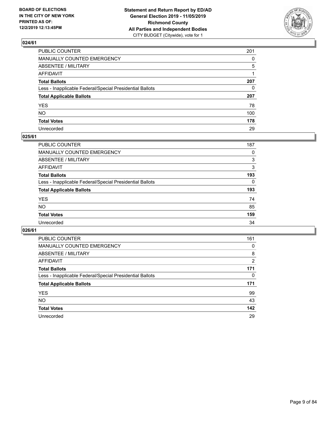

| PUBLIC COUNTER                                           | 201          |
|----------------------------------------------------------|--------------|
| MANUALLY COUNTED EMERGENCY                               | $\Omega$     |
| ABSENTEE / MILITARY                                      | 5            |
| AFFIDAVIT                                                |              |
| Total Ballots                                            | 207          |
| Less - Inapplicable Federal/Special Presidential Ballots | $\mathbf{0}$ |
| <b>Total Applicable Ballots</b>                          | 207          |
| YES                                                      | 78           |
| NO.                                                      | 100          |
| <b>Total Votes</b>                                       | 178          |
| Unrecorded                                               | 29           |

#### **025/61**

| PUBLIC COUNTER                                           | 187      |
|----------------------------------------------------------|----------|
| MANUALLY COUNTED EMERGENCY                               | 0        |
| ABSENTEE / MILITARY                                      | 3        |
| AFFIDAVIT                                                | 3        |
| <b>Total Ballots</b>                                     | 193      |
| Less - Inapplicable Federal/Special Presidential Ballots | $\Omega$ |
| <b>Total Applicable Ballots</b>                          | 193      |
| <b>YES</b>                                               | 74       |
| <b>NO</b>                                                | 85       |
| <b>Total Votes</b>                                       | 159      |
| Unrecorded                                               | 34       |

| <b>PUBLIC COUNTER</b>                                    | 161            |
|----------------------------------------------------------|----------------|
| MANUALLY COUNTED EMERGENCY                               | 0              |
| ABSENTEE / MILITARY                                      | 8              |
| AFFIDAVIT                                                | $\overline{2}$ |
| <b>Total Ballots</b>                                     | 171            |
| Less - Inapplicable Federal/Special Presidential Ballots | $\Omega$       |
| <b>Total Applicable Ballots</b>                          | 171            |
| <b>YES</b>                                               | 99             |
| NO.                                                      | 43             |
| <b>Total Votes</b>                                       | 142            |
| Unrecorded                                               | 29             |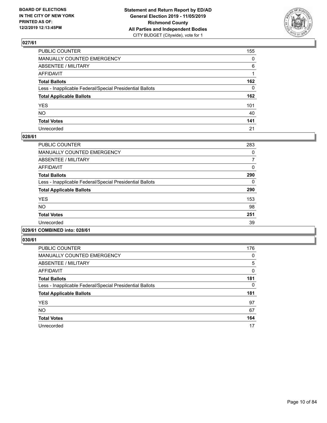

| PUBLIC COUNTER                                           | 155          |
|----------------------------------------------------------|--------------|
| MANUALLY COUNTED EMERGENCY                               | $\mathbf{0}$ |
| ABSENTEE / MILITARY                                      | 6            |
| AFFIDAVIT                                                |              |
| Total Ballots                                            | 162          |
| Less - Inapplicable Federal/Special Presidential Ballots | $\mathbf{0}$ |
| <b>Total Applicable Ballots</b>                          | 162          |
| YES                                                      | 101          |
| NO.                                                      | 40           |
| <b>Total Votes</b>                                       | 141          |
| Unrecorded                                               | 21           |

#### **028/61**

| PUBLIC COUNTER                                           | 283      |
|----------------------------------------------------------|----------|
| <b>MANUALLY COUNTED EMERGENCY</b>                        | 0        |
| ABSENTEE / MILITARY                                      | 7        |
| AFFIDAVIT                                                | $\Omega$ |
| <b>Total Ballots</b>                                     | 290      |
| Less - Inapplicable Federal/Special Presidential Ballots | 0        |
| <b>Total Applicable Ballots</b>                          | 290      |
| <b>YES</b>                                               | 153      |
| <b>NO</b>                                                | 98       |
| <b>Total Votes</b>                                       | 251      |
| Unrecorded                                               | 39       |
|                                                          |          |

### **029/61 COMBINED into: 028/61**

| <b>PUBLIC COUNTER</b>                                    | 176 |
|----------------------------------------------------------|-----|
| MANUALLY COUNTED EMERGENCY                               | 0   |
| ABSENTEE / MILITARY                                      | 5   |
| AFFIDAVIT                                                | 0   |
| <b>Total Ballots</b>                                     | 181 |
| Less - Inapplicable Federal/Special Presidential Ballots | 0   |
| <b>Total Applicable Ballots</b>                          | 181 |
| <b>YES</b>                                               | 97  |
| <b>NO</b>                                                | 67  |
| <b>Total Votes</b>                                       | 164 |
| Unrecorded                                               | 17  |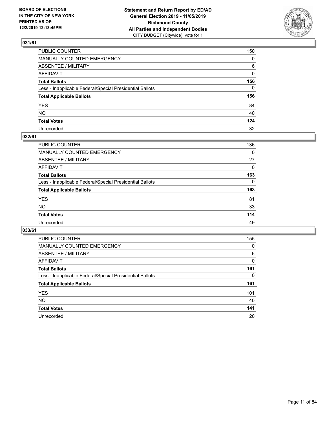

| PUBLIC COUNTER                                           | 150          |
|----------------------------------------------------------|--------------|
| MANUALLY COUNTED EMERGENCY                               | $\mathbf{0}$ |
| ABSENTEE / MILITARY                                      | 6            |
| AFFIDAVIT                                                | 0            |
| Total Ballots                                            | 156          |
| Less - Inapplicable Federal/Special Presidential Ballots | 0            |
| <b>Total Applicable Ballots</b>                          | 156          |
| YES                                                      | 84           |
| NO.                                                      | 40           |
| <b>Total Votes</b>                                       | 124          |
| Unrecorded                                               | 32           |

### **032/61**

| PUBLIC COUNTER                                           | 136      |
|----------------------------------------------------------|----------|
| <b>MANUALLY COUNTED EMERGENCY</b>                        | 0        |
| ABSENTEE / MILITARY                                      | 27       |
| AFFIDAVIT                                                | $\Omega$ |
| <b>Total Ballots</b>                                     | 163      |
| Less - Inapplicable Federal/Special Presidential Ballots | 0        |
| <b>Total Applicable Ballots</b>                          | 163      |
| <b>YES</b>                                               | 81       |
| <b>NO</b>                                                | 33       |
| <b>Total Votes</b>                                       | 114      |
| Unrecorded                                               | 49       |

| <b>PUBLIC COUNTER</b>                                    | 155      |
|----------------------------------------------------------|----------|
| MANUALLY COUNTED EMERGENCY                               | 0        |
| ABSENTEE / MILITARY                                      | 6        |
| AFFIDAVIT                                                | $\Omega$ |
| <b>Total Ballots</b>                                     | 161      |
| Less - Inapplicable Federal/Special Presidential Ballots | $\Omega$ |
| <b>Total Applicable Ballots</b>                          | 161      |
| <b>YES</b>                                               | 101      |
| <b>NO</b>                                                | 40       |
| <b>Total Votes</b>                                       | 141      |
| Unrecorded                                               | 20       |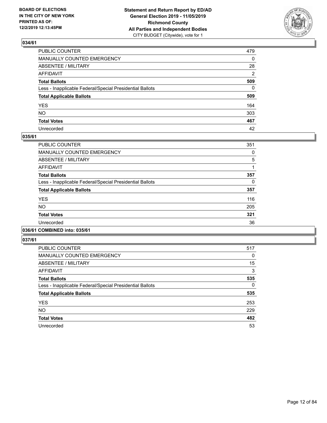

| PUBLIC COUNTER                                           | 479          |
|----------------------------------------------------------|--------------|
| MANUALLY COUNTED EMERGENCY                               | $\mathbf{0}$ |
| ABSENTEE / MILITARY                                      | 28           |
| AFFIDAVIT                                                | 2            |
| Total Ballots                                            | 509          |
| Less - Inapplicable Federal/Special Presidential Ballots | $\Omega$     |
| <b>Total Applicable Ballots</b>                          | 509          |
| YES                                                      | 164          |
| NO.                                                      | 303          |
| <b>Total Votes</b>                                       | 467          |
| Unrecorded                                               | 42           |

#### **035/61**

| <b>PUBLIC COUNTER</b>                                    | 351 |
|----------------------------------------------------------|-----|
| <b>MANUALLY COUNTED EMERGENCY</b>                        | 0   |
| ABSENTEE / MILITARY                                      | 5   |
| <b>AFFIDAVIT</b>                                         |     |
| <b>Total Ballots</b>                                     | 357 |
| Less - Inapplicable Federal/Special Presidential Ballots | 0   |
| <b>Total Applicable Ballots</b>                          | 357 |
| <b>YES</b>                                               | 116 |
| <b>NO</b>                                                | 205 |
| <b>Total Votes</b>                                       | 321 |
| Unrecorded                                               | 36  |
|                                                          |     |

### **036/61 COMBINED into: 035/61**

| <b>PUBLIC COUNTER</b>                                    | 517 |
|----------------------------------------------------------|-----|
| <b>MANUALLY COUNTED EMERGENCY</b>                        | 0   |
| ABSENTEE / MILITARY                                      | 15  |
| <b>AFFIDAVIT</b>                                         | 3   |
| <b>Total Ballots</b>                                     | 535 |
| Less - Inapplicable Federal/Special Presidential Ballots | 0   |
| <b>Total Applicable Ballots</b>                          | 535 |
| <b>YES</b>                                               | 253 |
| <b>NO</b>                                                | 229 |
| <b>Total Votes</b>                                       | 482 |
| Unrecorded                                               | 53  |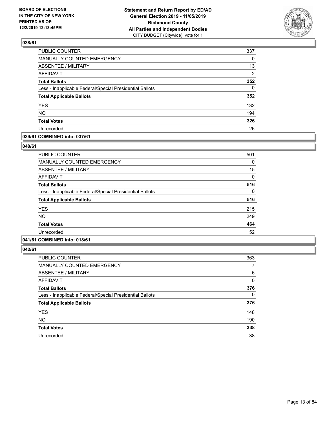

| PUBLIC COUNTER                                           | 337            |
|----------------------------------------------------------|----------------|
| MANUALLY COUNTED EMERGENCY                               | 0              |
| ABSENTEE / MILITARY                                      | 13             |
| <b>AFFIDAVIT</b>                                         | $\overline{2}$ |
| <b>Total Ballots</b>                                     | 352            |
| Less - Inapplicable Federal/Special Presidential Ballots | $\Omega$       |
| <b>Total Applicable Ballots</b>                          | 352            |
| <b>YES</b>                                               | 132            |
| <b>NO</b>                                                | 194            |
| <b>Total Votes</b>                                       | 326            |
| Unrecorded                                               | 26             |

### **039/61 COMBINED into: 037/61**

#### **040/61**

| <b>PUBLIC COUNTER</b>                                    | 501 |
|----------------------------------------------------------|-----|
| <b>MANUALLY COUNTED EMERGENCY</b>                        | 0   |
| ABSENTEE / MILITARY                                      | 15  |
| <b>AFFIDAVIT</b>                                         | 0   |
| <b>Total Ballots</b>                                     | 516 |
| Less - Inapplicable Federal/Special Presidential Ballots | 0   |
| <b>Total Applicable Ballots</b>                          | 516 |
| <b>YES</b>                                               | 215 |
| <b>NO</b>                                                | 249 |
| <b>Total Votes</b>                                       | 464 |
| Unrecorded                                               | 52  |
|                                                          |     |

### **041/61 COMBINED into: 018/61**

| <b>PUBLIC COUNTER</b>                                    | 363      |
|----------------------------------------------------------|----------|
| <b>MANUALLY COUNTED EMERGENCY</b>                        | 7        |
| ABSENTEE / MILITARY                                      | 6        |
| <b>AFFIDAVIT</b>                                         | 0        |
| <b>Total Ballots</b>                                     | 376      |
| Less - Inapplicable Federal/Special Presidential Ballots | $\Omega$ |
| <b>Total Applicable Ballots</b>                          | 376      |
| <b>YES</b>                                               | 148      |
| <b>NO</b>                                                | 190      |
| <b>Total Votes</b>                                       | 338      |
| Unrecorded                                               | 38       |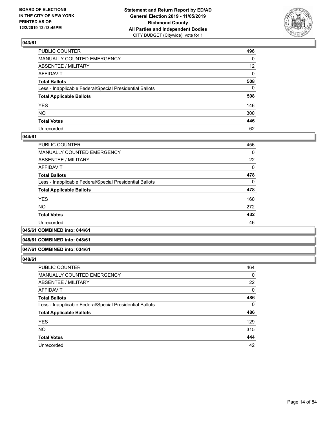

| PUBLIC COUNTER                                           | 496             |
|----------------------------------------------------------|-----------------|
| MANUALLY COUNTED EMERGENCY                               | 0               |
| ABSENTEE / MILITARY                                      | 12 <sup>2</sup> |
| AFFIDAVIT                                                | 0               |
| Total Ballots                                            | 508             |
| Less - Inapplicable Federal/Special Presidential Ballots | 0               |
| <b>Total Applicable Ballots</b>                          | 508             |
| YES                                                      | 146             |
| NO.                                                      | 300             |
| <b>Total Votes</b>                                       | 446             |
| Unrecorded                                               | 62              |

#### **044/61**

| <b>PUBLIC COUNTER</b>                                    | 456      |
|----------------------------------------------------------|----------|
| MANUALLY COUNTED EMERGENCY                               | $\Omega$ |
| ABSENTEE / MILITARY                                      | 22       |
| AFFIDAVIT                                                | 0        |
| <b>Total Ballots</b>                                     | 478      |
| Less - Inapplicable Federal/Special Presidential Ballots | 0        |
| <b>Total Applicable Ballots</b>                          | 478      |
| <b>YES</b>                                               | 160      |
| <b>NO</b>                                                | 272      |
| <b>Total Votes</b>                                       | 432      |
| Unrecorded                                               | 46       |
|                                                          |          |

#### **045/61 COMBINED into: 044/61**

#### **046/61 COMBINED into: 048/61**

#### **047/61 COMBINED into: 034/61**

| <b>PUBLIC COUNTER</b>                                    | 464 |
|----------------------------------------------------------|-----|
| <b>MANUALLY COUNTED EMERGENCY</b>                        | 0   |
| ABSENTEE / MILITARY                                      | 22  |
| AFFIDAVIT                                                | 0   |
| <b>Total Ballots</b>                                     | 486 |
| Less - Inapplicable Federal/Special Presidential Ballots | 0   |
| <b>Total Applicable Ballots</b>                          | 486 |
| <b>YES</b>                                               | 129 |
| <b>NO</b>                                                | 315 |
| <b>Total Votes</b>                                       | 444 |
| Unrecorded                                               | 42  |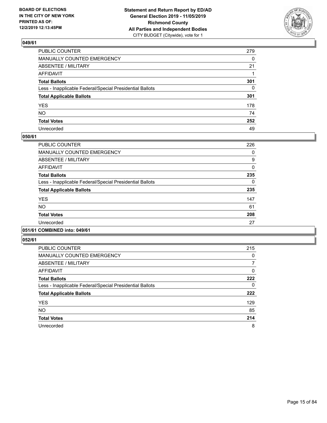

| PUBLIC COUNTER                                           | 279          |
|----------------------------------------------------------|--------------|
| MANUALLY COUNTED EMERGENCY                               | $\mathbf{0}$ |
| ABSENTEE / MILITARY                                      | 21           |
| AFFIDAVIT                                                |              |
| Total Ballots                                            | 301          |
| Less - Inapplicable Federal/Special Presidential Ballots | $\mathbf{0}$ |
| <b>Total Applicable Ballots</b>                          | 301          |
| YES                                                      | 178          |
| NO.                                                      | 74           |
| <b>Total Votes</b>                                       | 252          |
| Unrecorded                                               | 49           |

#### **050/61**

| <b>PUBLIC COUNTER</b>                                    | 226 |
|----------------------------------------------------------|-----|
| <b>MANUALLY COUNTED EMERGENCY</b>                        | 0   |
| ABSENTEE / MILITARY                                      | 9   |
| <b>AFFIDAVIT</b>                                         | 0   |
| <b>Total Ballots</b>                                     | 235 |
| Less - Inapplicable Federal/Special Presidential Ballots | 0   |
| <b>Total Applicable Ballots</b>                          | 235 |
| <b>YES</b>                                               | 147 |
| <b>NO</b>                                                | 61  |
| <b>Total Votes</b>                                       | 208 |
| Unrecorded                                               | 27  |
|                                                          |     |

### **051/61 COMBINED into: 049/61**

| <b>PUBLIC COUNTER</b>                                    | 215 |
|----------------------------------------------------------|-----|
| <b>MANUALLY COUNTED EMERGENCY</b>                        | 0   |
| ABSENTEE / MILITARY                                      | 7   |
| <b>AFFIDAVIT</b>                                         | 0   |
| <b>Total Ballots</b>                                     | 222 |
| Less - Inapplicable Federal/Special Presidential Ballots | 0   |
| <b>Total Applicable Ballots</b>                          | 222 |
| <b>YES</b>                                               | 129 |
| <b>NO</b>                                                | 85  |
| <b>Total Votes</b>                                       | 214 |
| Unrecorded                                               | 8   |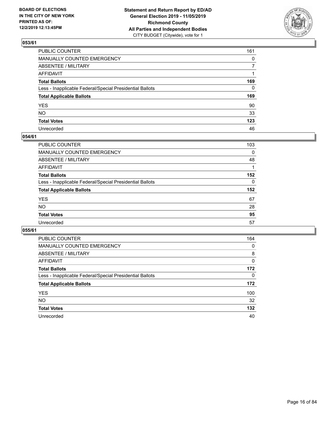

| PUBLIC COUNTER                                           | 161          |
|----------------------------------------------------------|--------------|
| MANUALLY COUNTED EMERGENCY                               | $\mathbf{0}$ |
| ABSENTEE / MILITARY                                      | 7            |
| AFFIDAVIT                                                |              |
| Total Ballots                                            | 169          |
| Less - Inapplicable Federal/Special Presidential Ballots | 0            |
| <b>Total Applicable Ballots</b>                          | 169          |
| YES                                                      | 90           |
| NO.                                                      | 33           |
| <b>Total Votes</b>                                       | 123          |
| Unrecorded                                               | 46           |

### **054/61**

| <b>PUBLIC COUNTER</b>                                    | 103      |
|----------------------------------------------------------|----------|
| <b>MANUALLY COUNTED EMERGENCY</b>                        | 0        |
| ABSENTEE / MILITARY                                      | 48       |
| AFFIDAVIT                                                |          |
| <b>Total Ballots</b>                                     | 152      |
| Less - Inapplicable Federal/Special Presidential Ballots | $\Omega$ |
| <b>Total Applicable Ballots</b>                          | 152      |
| <b>YES</b>                                               | 67       |
| <b>NO</b>                                                | 28       |
| <b>Total Votes</b>                                       | 95       |
| Unrecorded                                               | 57       |

| <b>PUBLIC COUNTER</b>                                    | 164 |
|----------------------------------------------------------|-----|
| MANUALLY COUNTED EMERGENCY                               | 0   |
| ABSENTEE / MILITARY                                      | 8   |
| AFFIDAVIT                                                | 0   |
| <b>Total Ballots</b>                                     | 172 |
| Less - Inapplicable Federal/Special Presidential Ballots | 0   |
| <b>Total Applicable Ballots</b>                          | 172 |
| <b>YES</b>                                               | 100 |
| NO.                                                      | 32  |
| <b>Total Votes</b>                                       | 132 |
| Unrecorded                                               | 40  |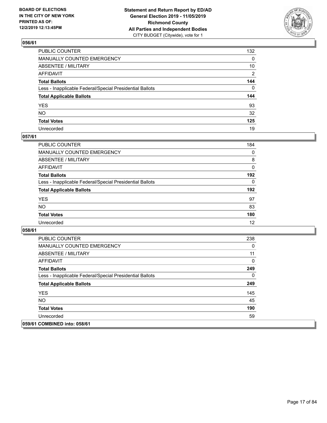

| PUBLIC COUNTER                                           | 132 |
|----------------------------------------------------------|-----|
| MANUALLY COUNTED EMERGENCY                               | 0   |
| ABSENTEE / MILITARY                                      | 10  |
| AFFIDAVIT                                                | 2   |
| Total Ballots                                            | 144 |
| Less - Inapplicable Federal/Special Presidential Ballots | 0   |
| <b>Total Applicable Ballots</b>                          | 144 |
| YES                                                      | 93  |
| NO.                                                      | 32  |
| <b>Total Votes</b>                                       | 125 |
| Unrecorded                                               | 19  |

### **057/61**

| <b>PUBLIC COUNTER</b>                                    | 184      |
|----------------------------------------------------------|----------|
| <b>MANUALLY COUNTED EMERGENCY</b>                        | $\Omega$ |
| ABSENTEE / MILITARY                                      | 8        |
| AFFIDAVIT                                                | $\Omega$ |
| <b>Total Ballots</b>                                     | 192      |
| Less - Inapplicable Federal/Special Presidential Ballots | $\Omega$ |
| <b>Total Applicable Ballots</b>                          | 192      |
| <b>YES</b>                                               | 97       |
| <b>NO</b>                                                | 83       |
| <b>Total Votes</b>                                       | 180      |
| Unrecorded                                               | 12       |

| <b>PUBLIC COUNTER</b>                                    | 238 |
|----------------------------------------------------------|-----|
| <b>MANUALLY COUNTED EMERGENCY</b>                        | 0   |
| ABSENTEE / MILITARY                                      | 11  |
| AFFIDAVIT                                                | 0   |
| <b>Total Ballots</b>                                     | 249 |
| Less - Inapplicable Federal/Special Presidential Ballots | 0   |
| <b>Total Applicable Ballots</b>                          | 249 |
| <b>YES</b>                                               | 145 |
| NO.                                                      | 45  |
| <b>Total Votes</b>                                       | 190 |
| Unrecorded                                               | 59  |
| 059/61 COMBINED into: 058/61                             |     |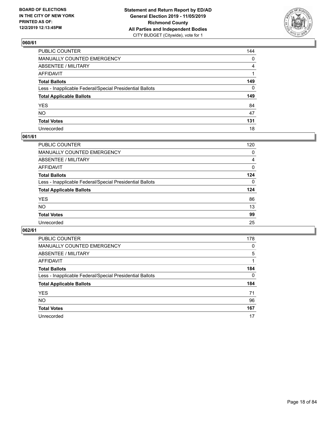

| PUBLIC COUNTER                                           | 144 |
|----------------------------------------------------------|-----|
| MANUALLY COUNTED EMERGENCY                               | 0   |
| ABSENTEE / MILITARY                                      | 4   |
| AFFIDAVIT                                                |     |
| Total Ballots                                            | 149 |
| Less - Inapplicable Federal/Special Presidential Ballots | 0   |
| <b>Total Applicable Ballots</b>                          | 149 |
| YES                                                      | 84  |
| NO.                                                      | 47  |
| <b>Total Votes</b>                                       | 131 |
| Unrecorded                                               | 18  |

### **061/61**

| <b>PUBLIC COUNTER</b>                                    | 120      |
|----------------------------------------------------------|----------|
| <b>MANUALLY COUNTED EMERGENCY</b>                        | 0        |
| ABSENTEE / MILITARY                                      | 4        |
| AFFIDAVIT                                                | 0        |
| <b>Total Ballots</b>                                     | 124      |
| Less - Inapplicable Federal/Special Presidential Ballots | $\Omega$ |
| <b>Total Applicable Ballots</b>                          | 124      |
| <b>YES</b>                                               | 86       |
| <b>NO</b>                                                | 13       |
| <b>Total Votes</b>                                       | 99       |
| Unrecorded                                               | 25       |

| <b>PUBLIC COUNTER</b>                                    | 178      |
|----------------------------------------------------------|----------|
| <b>MANUALLY COUNTED EMERGENCY</b>                        | $\Omega$ |
| ABSENTEE / MILITARY                                      | 5        |
| AFFIDAVIT                                                |          |
| <b>Total Ballots</b>                                     | 184      |
| Less - Inapplicable Federal/Special Presidential Ballots | $\Omega$ |
| <b>Total Applicable Ballots</b>                          | 184      |
| <b>YES</b>                                               | 71       |
| <b>NO</b>                                                | 96       |
| <b>Total Votes</b>                                       | 167      |
| Unrecorded                                               | 17       |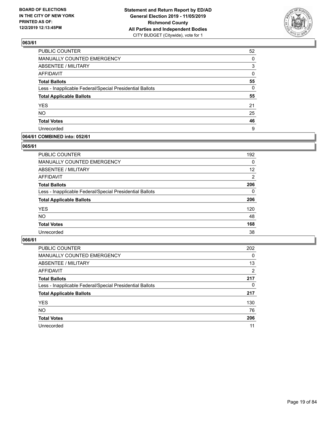

| PUBLIC COUNTER                                           | 52       |
|----------------------------------------------------------|----------|
| <b>MANUALLY COUNTED EMERGENCY</b>                        | $\Omega$ |
| ABSENTEE / MILITARY                                      | 3        |
| <b>AFFIDAVIT</b>                                         | 0        |
| <b>Total Ballots</b>                                     | 55       |
| Less - Inapplicable Federal/Special Presidential Ballots | $\Omega$ |
| <b>Total Applicable Ballots</b>                          | 55       |
| <b>YES</b>                                               | 21       |
| <b>NO</b>                                                | 25       |
| <b>Total Votes</b>                                       | 46       |
| Unrecorded                                               | 9        |

### **064/61 COMBINED into: 052/61**

#### **065/61**

| <b>PUBLIC COUNTER</b>                                    | 192      |
|----------------------------------------------------------|----------|
| <b>MANUALLY COUNTED EMERGENCY</b>                        | $\Omega$ |
| ABSENTEE / MILITARY                                      | 12       |
| AFFIDAVIT                                                | 2        |
| <b>Total Ballots</b>                                     | 206      |
| Less - Inapplicable Federal/Special Presidential Ballots | $\Omega$ |
| <b>Total Applicable Ballots</b>                          | 206      |
| <b>YES</b>                                               | 120      |
| <b>NO</b>                                                | 48       |
| <b>Total Votes</b>                                       | 168      |
| Unrecorded                                               | 38       |
|                                                          |          |

| <b>PUBLIC COUNTER</b>                                    | 202      |
|----------------------------------------------------------|----------|
| MANUALLY COUNTED EMERGENCY                               | $\Omega$ |
| ABSENTEE / MILITARY                                      | 13       |
| AFFIDAVIT                                                | 2        |
| <b>Total Ballots</b>                                     | 217      |
| Less - Inapplicable Federal/Special Presidential Ballots | 0        |
| <b>Total Applicable Ballots</b>                          | 217      |
| <b>YES</b>                                               | 130      |
| <b>NO</b>                                                | 76       |
| <b>Total Votes</b>                                       | 206      |
| Unrecorded                                               | 11       |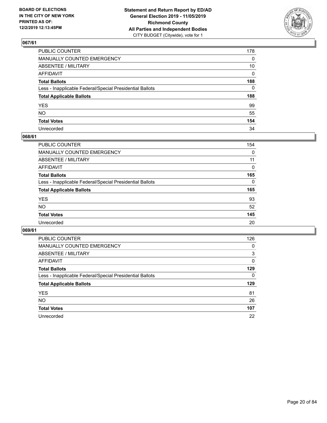

| PUBLIC COUNTER                                           | 178 |
|----------------------------------------------------------|-----|
| MANUALLY COUNTED EMERGENCY                               | 0   |
| ABSENTEE / MILITARY                                      | 10  |
| AFFIDAVIT                                                | 0   |
| Total Ballots                                            | 188 |
| Less - Inapplicable Federal/Special Presidential Ballots | 0   |
| <b>Total Applicable Ballots</b>                          | 188 |
| YES                                                      | 99  |
| NO.                                                      | 55  |
| <b>Total Votes</b>                                       | 154 |
| Unrecorded                                               | 34  |

### **068/61**

| PUBLIC COUNTER                                           | 154      |
|----------------------------------------------------------|----------|
| MANUALLY COUNTED EMERGENCY                               | 0        |
| ABSENTEE / MILITARY                                      | 11       |
| AFFIDAVIT                                                | $\Omega$ |
| <b>Total Ballots</b>                                     | 165      |
| Less - Inapplicable Federal/Special Presidential Ballots | $\Omega$ |
| <b>Total Applicable Ballots</b>                          | 165      |
| <b>YES</b>                                               | 93       |
| <b>NO</b>                                                | 52       |
| <b>Total Votes</b>                                       | 145      |
| Unrecorded                                               | 20       |

| <b>PUBLIC COUNTER</b>                                    | 126      |
|----------------------------------------------------------|----------|
| MANUALLY COUNTED EMERGENCY                               | 0        |
| ABSENTEE / MILITARY                                      | 3        |
| AFFIDAVIT                                                | $\Omega$ |
| <b>Total Ballots</b>                                     | 129      |
| Less - Inapplicable Federal/Special Presidential Ballots | $\Omega$ |
| <b>Total Applicable Ballots</b>                          | 129      |
| <b>YES</b>                                               | 81       |
| <b>NO</b>                                                | 26       |
|                                                          |          |
| <b>Total Votes</b>                                       | 107      |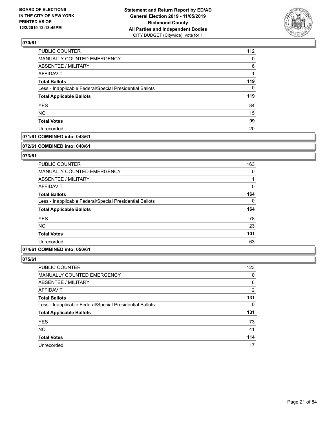

| 112      |
|----------|
| $\Omega$ |
| 6        |
|          |
| 119      |
| 0        |
| 119      |
| 84       |
| 15       |
| 99       |
| 20       |
|          |

### **071/61 COMBINED into: 043/61**

#### **072/61 COMBINED into: 040/61**

### **073/61**

| PUBLIC COUNTER                                           | 163      |
|----------------------------------------------------------|----------|
| <b>MANUALLY COUNTED EMERGENCY</b>                        | 0        |
| ABSENTEE / MILITARY                                      |          |
| AFFIDAVIT                                                | 0        |
| <b>Total Ballots</b>                                     | 164      |
| Less - Inapplicable Federal/Special Presidential Ballots | $\Omega$ |
| <b>Total Applicable Ballots</b>                          | 164      |
| <b>YES</b>                                               | 78       |
| <b>NO</b>                                                | 23       |
| <b>Total Votes</b>                                       | 101      |
| Unrecorded                                               | 63       |

### **074/61 COMBINED into: 050/61**

| <b>PUBLIC COUNTER</b>                                    | 123 |
|----------------------------------------------------------|-----|
| MANUALLY COUNTED EMERGENCY                               | 0   |
| <b>ABSENTEE / MILITARY</b>                               | 6   |
| AFFIDAVIT                                                | 2   |
| <b>Total Ballots</b>                                     | 131 |
| Less - Inapplicable Federal/Special Presidential Ballots | 0   |
| <b>Total Applicable Ballots</b>                          | 131 |
| <b>YES</b>                                               | 73  |
| <b>NO</b>                                                | 41  |
| <b>Total Votes</b>                                       | 114 |
| Unrecorded                                               | 17  |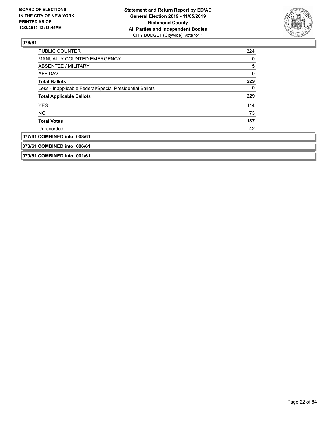

| <b>PUBLIC COUNTER</b>                                    | 224 |
|----------------------------------------------------------|-----|
| <b>MANUALLY COUNTED EMERGENCY</b>                        | 0   |
| ABSENTEE / MILITARY                                      | 5   |
| <b>AFFIDAVIT</b>                                         | 0   |
| <b>Total Ballots</b>                                     | 229 |
| Less - Inapplicable Federal/Special Presidential Ballots | 0   |
| <b>Total Applicable Ballots</b>                          | 229 |
| <b>YES</b>                                               | 114 |
| NO.                                                      | 73  |
| <b>Total Votes</b>                                       | 187 |
| Unrecorded                                               | 42  |
| 077/61 COMBINED into: 008/61                             |     |
| 078/61 COMBINED into: 006/61                             |     |
| 079/61 COMBINED into: 001/61                             |     |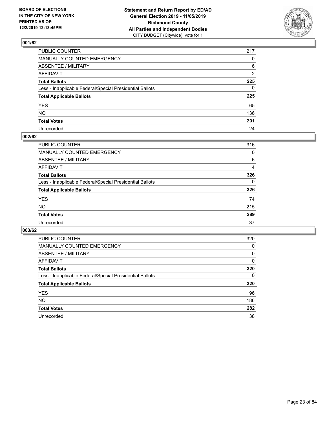

| PUBLIC COUNTER                                           | 217            |
|----------------------------------------------------------|----------------|
| MANUALLY COUNTED EMERGENCY                               | $\mathbf{0}$   |
| ABSENTEE / MILITARY                                      | 6              |
| AFFIDAVIT                                                | $\overline{2}$ |
| Total Ballots                                            | 225            |
| Less - Inapplicable Federal/Special Presidential Ballots | $\mathbf{0}$   |
| <b>Total Applicable Ballots</b>                          | 225            |
| YES                                                      | 65             |
| NO.                                                      | 136            |
| <b>Total Votes</b>                                       | 201            |
| Unrecorded                                               | 24             |

### **002/62**

| PUBLIC COUNTER                                           | 316      |
|----------------------------------------------------------|----------|
| MANUALLY COUNTED EMERGENCY                               | 0        |
| ABSENTEE / MILITARY                                      | 6        |
| AFFIDAVIT                                                | 4        |
| <b>Total Ballots</b>                                     | 326      |
| Less - Inapplicable Federal/Special Presidential Ballots | $\Omega$ |
| <b>Total Applicable Ballots</b>                          | 326      |
| <b>YES</b>                                               | 74       |
| <b>NO</b>                                                | 215      |
| <b>Total Votes</b>                                       | 289      |
| Unrecorded                                               | 37       |

| <b>PUBLIC COUNTER</b>                                    | 320 |
|----------------------------------------------------------|-----|
| MANUALLY COUNTED EMERGENCY                               | 0   |
| ABSENTEE / MILITARY                                      | 0   |
| AFFIDAVIT                                                | 0   |
| <b>Total Ballots</b>                                     | 320 |
| Less - Inapplicable Federal/Special Presidential Ballots | 0   |
| <b>Total Applicable Ballots</b>                          | 320 |
| <b>YES</b>                                               | 96  |
| NO.                                                      | 186 |
| <b>Total Votes</b>                                       | 282 |
| Unrecorded                                               | 38  |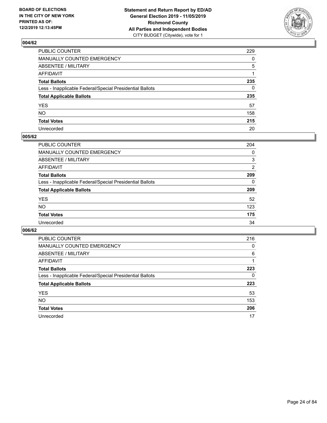

| PUBLIC COUNTER                                           | 229 |
|----------------------------------------------------------|-----|
| MANUALLY COUNTED EMERGENCY                               | 0   |
| ABSENTEE / MILITARY                                      | 5   |
| AFFIDAVIT                                                | 1   |
| Total Ballots                                            | 235 |
| Less - Inapplicable Federal/Special Presidential Ballots | 0   |
| <b>Total Applicable Ballots</b>                          | 235 |
| YES                                                      | 57  |
| NO.                                                      | 158 |
| <b>Total Votes</b>                                       | 215 |
| Unrecorded                                               | 20  |

### **005/62**

| PUBLIC COUNTER                                           | 204      |
|----------------------------------------------------------|----------|
| MANUALLY COUNTED EMERGENCY                               | 0        |
| ABSENTEE / MILITARY                                      | 3        |
| AFFIDAVIT                                                | 2        |
| <b>Total Ballots</b>                                     | 209      |
| Less - Inapplicable Federal/Special Presidential Ballots | $\Omega$ |
| <b>Total Applicable Ballots</b>                          | 209      |
| <b>YES</b>                                               | 52       |
| <b>NO</b>                                                | 123      |
| <b>Total Votes</b>                                       | 175      |
| Unrecorded                                               | 34       |

| <b>PUBLIC COUNTER</b>                                    | 216 |
|----------------------------------------------------------|-----|
| <b>MANUALLY COUNTED EMERGENCY</b>                        | 0   |
| ABSENTEE / MILITARY                                      | 6   |
| AFFIDAVIT                                                |     |
| <b>Total Ballots</b>                                     | 223 |
| Less - Inapplicable Federal/Special Presidential Ballots | 0   |
| <b>Total Applicable Ballots</b>                          | 223 |
| <b>YES</b>                                               | 53  |
| <b>NO</b>                                                | 153 |
| <b>Total Votes</b>                                       | 206 |
| Unrecorded                                               | 17  |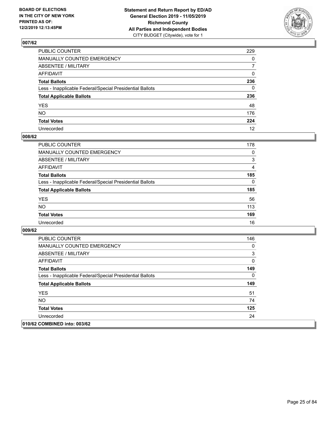

| PUBLIC COUNTER                                           | 229            |
|----------------------------------------------------------|----------------|
| MANUALLY COUNTED EMERGENCY                               | $\mathbf{0}$   |
| ABSENTEE / MILITARY                                      | $\overline{7}$ |
| AFFIDAVIT                                                | $\Omega$       |
| Total Ballots                                            | 236            |
| Less - Inapplicable Federal/Special Presidential Ballots | $\mathbf{0}$   |
| <b>Total Applicable Ballots</b>                          | 236            |
| YES                                                      | 48             |
| NO.                                                      | 176            |
| <b>Total Votes</b>                                       | 224            |
| Unrecorded                                               | 12             |

### **008/62**

| <b>PUBLIC COUNTER</b>                                    | 178      |
|----------------------------------------------------------|----------|
| <b>MANUALLY COUNTED EMERGENCY</b>                        | $\Omega$ |
| ABSENTEE / MILITARY                                      | 3        |
| AFFIDAVIT                                                | 4        |
| <b>Total Ballots</b>                                     | 185      |
| Less - Inapplicable Federal/Special Presidential Ballots | $\Omega$ |
| <b>Total Applicable Ballots</b>                          | 185      |
| <b>YES</b>                                               | 56       |
| <b>NO</b>                                                | 113      |
| <b>Total Votes</b>                                       | 169      |
| Unrecorded                                               | 16       |

| <b>PUBLIC COUNTER</b>                                    | 146 |
|----------------------------------------------------------|-----|
| <b>MANUALLY COUNTED EMERGENCY</b>                        | 0   |
| ABSENTEE / MILITARY                                      | 3   |
| AFFIDAVIT                                                | 0   |
| <b>Total Ballots</b>                                     | 149 |
| Less - Inapplicable Federal/Special Presidential Ballots | 0   |
| <b>Total Applicable Ballots</b>                          | 149 |
| <b>YES</b>                                               | 51  |
| <b>NO</b>                                                | 74  |
| <b>Total Votes</b>                                       | 125 |
| Unrecorded                                               | 24  |
| 010/62 COMBINED into: 003/62                             |     |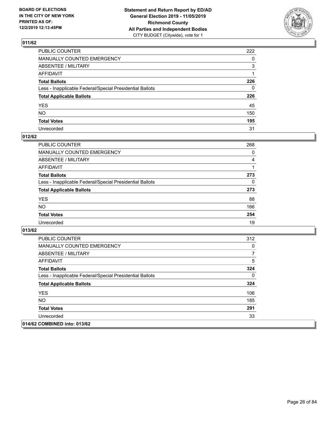

| PUBLIC COUNTER                                           | 222          |
|----------------------------------------------------------|--------------|
| MANUALLY COUNTED EMERGENCY                               | $\mathbf{0}$ |
| ABSENTEE / MILITARY                                      | 3            |
| AFFIDAVIT                                                |              |
| Total Ballots                                            | 226          |
| Less - Inapplicable Federal/Special Presidential Ballots | 0            |
| <b>Total Applicable Ballots</b>                          | 226          |
| YES                                                      | 45           |
| NO.                                                      | 150          |
| <b>Total Votes</b>                                       | 195          |
| Unrecorded                                               | 31           |

### **012/62**

| <b>PUBLIC COUNTER</b>                                    | 268 |
|----------------------------------------------------------|-----|
| <b>MANUALLY COUNTED EMERGENCY</b>                        | 0   |
| ABSENTEE / MILITARY                                      | 4   |
| AFFIDAVIT                                                |     |
| <b>Total Ballots</b>                                     | 273 |
| Less - Inapplicable Federal/Special Presidential Ballots | 0   |
| <b>Total Applicable Ballots</b>                          | 273 |
| <b>YES</b>                                               | 88  |
| <b>NO</b>                                                | 166 |
| <b>Total Votes</b>                                       | 254 |
| Unrecorded                                               | 19  |

| <b>PUBLIC COUNTER</b>                                    | 312 |
|----------------------------------------------------------|-----|
| <b>MANUALLY COUNTED EMERGENCY</b>                        | 0   |
| ABSENTEE / MILITARY                                      |     |
| AFFIDAVIT                                                | 5   |
| <b>Total Ballots</b>                                     | 324 |
| Less - Inapplicable Federal/Special Presidential Ballots | 0   |
| <b>Total Applicable Ballots</b>                          | 324 |
| <b>YES</b>                                               | 106 |
| <b>NO</b>                                                | 185 |
| <b>Total Votes</b>                                       | 291 |
| Unrecorded                                               | 33  |
| 014/62 COMBINED into: 013/62                             |     |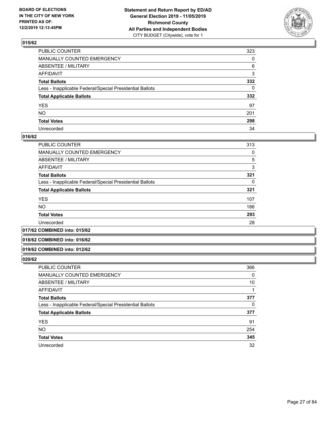

| PUBLIC COUNTER                                           | 323          |
|----------------------------------------------------------|--------------|
| MANUALLY COUNTED EMERGENCY                               | $\Omega$     |
| ABSENTEE / MILITARY                                      | 6            |
| AFFIDAVIT                                                | 3            |
| Total Ballots                                            | 332          |
| Less - Inapplicable Federal/Special Presidential Ballots | $\mathbf{0}$ |
| <b>Total Applicable Ballots</b>                          | 332          |
| YES                                                      | 97           |
| NO.                                                      | 201          |
| <b>Total Votes</b>                                       | 298          |
| Unrecorded                                               | 34           |

#### **016/62**

| PUBLIC COUNTER                                           | 313 |
|----------------------------------------------------------|-----|
|                                                          |     |
| <b>MANUALLY COUNTED EMERGENCY</b>                        | 0   |
| ABSENTEE / MILITARY                                      | 5   |
| <b>AFFIDAVIT</b>                                         | 3   |
| <b>Total Ballots</b>                                     | 321 |
| Less - Inapplicable Federal/Special Presidential Ballots | 0   |
| <b>Total Applicable Ballots</b>                          | 321 |
| <b>YES</b>                                               | 107 |
| <b>NO</b>                                                | 186 |
| <b>Total Votes</b>                                       | 293 |
| Unrecorded                                               | 28  |
|                                                          |     |

#### **017/62 COMBINED into: 015/62**

#### **018/62 COMBINED into: 016/62**

#### **019/62 COMBINED into: 012/62**

| <b>PUBLIC COUNTER</b>                                    | 366 |
|----------------------------------------------------------|-----|
| <b>MANUALLY COUNTED EMERGENCY</b>                        | 0   |
| ABSENTEE / MILITARY                                      | 10  |
| AFFIDAVIT                                                |     |
| <b>Total Ballots</b>                                     | 377 |
| Less - Inapplicable Federal/Special Presidential Ballots | 0   |
| <b>Total Applicable Ballots</b>                          | 377 |
| <b>YES</b>                                               | 91  |
| <b>NO</b>                                                | 254 |
| <b>Total Votes</b>                                       | 345 |
| Unrecorded                                               | 32  |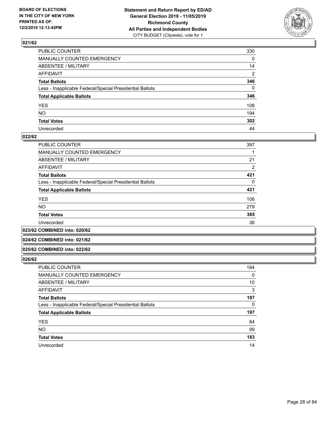

| PUBLIC COUNTER                                           | 330            |
|----------------------------------------------------------|----------------|
| MANUALLY COUNTED EMERGENCY                               | $\mathbf{0}$   |
| ABSENTEE / MILITARY                                      | 14             |
| AFFIDAVIT                                                | $\overline{2}$ |
| Total Ballots                                            | 346            |
| Less - Inapplicable Federal/Special Presidential Ballots | $\Omega$       |
| <b>Total Applicable Ballots</b>                          | 346            |
| YES                                                      | 108            |
| NO.                                                      | 194            |
| <b>Total Votes</b>                                       | 302            |
| Unrecorded                                               | 44             |

#### **022/62**

| <b>PUBLIC COUNTER</b>                                    | 397 |
|----------------------------------------------------------|-----|
| <b>MANUALLY COUNTED EMERGENCY</b>                        |     |
| ABSENTEE / MILITARY                                      | 21  |
| AFFIDAVIT                                                | 2   |
| <b>Total Ballots</b>                                     | 421 |
| Less - Inapplicable Federal/Special Presidential Ballots | 0   |
| <b>Total Applicable Ballots</b>                          | 421 |
| <b>YES</b>                                               | 106 |
| <b>NO</b>                                                | 279 |
| <b>Total Votes</b>                                       | 385 |
| Unrecorded                                               | 36  |
|                                                          |     |

**023/62 COMBINED into: 020/62**

#### **024/62 COMBINED into: 021/62**

#### **025/62 COMBINED into: 022/62**

| <b>PUBLIC COUNTER</b>                                    | 184      |
|----------------------------------------------------------|----------|
| <b>MANUALLY COUNTED EMERGENCY</b>                        | 0        |
| ABSENTEE / MILITARY                                      | 10       |
| AFFIDAVIT                                                | 3        |
| <b>Total Ballots</b>                                     | 197      |
| Less - Inapplicable Federal/Special Presidential Ballots | $\Omega$ |
| <b>Total Applicable Ballots</b>                          | 197      |
| <b>YES</b>                                               | 84       |
| <b>NO</b>                                                | 99       |
| <b>Total Votes</b>                                       | 183      |
| Unrecorded                                               | 14       |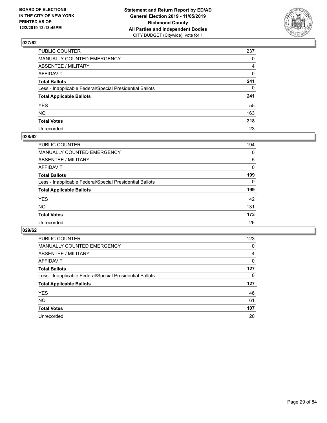

| PUBLIC COUNTER                                           | 237          |
|----------------------------------------------------------|--------------|
| MANUALLY COUNTED EMERGENCY                               | $\mathbf{0}$ |
| ABSENTEE / MILITARY                                      | 4            |
| AFFIDAVIT                                                | $\mathbf 0$  |
| Total Ballots                                            | 241          |
| Less - Inapplicable Federal/Special Presidential Ballots | $\mathbf{0}$ |
| <b>Total Applicable Ballots</b>                          | 241          |
| YES                                                      | 55           |
| NO.                                                      | 163          |
| <b>Total Votes</b>                                       | 218          |
| Unrecorded                                               | 23           |

### **028/62**

| PUBLIC COUNTER                                           | 194      |
|----------------------------------------------------------|----------|
| MANUALLY COUNTED EMERGENCY                               | 0        |
| ABSENTEE / MILITARY                                      | 5        |
| AFFIDAVIT                                                | $\Omega$ |
| <b>Total Ballots</b>                                     | 199      |
| Less - Inapplicable Federal/Special Presidential Ballots | $\Omega$ |
| <b>Total Applicable Ballots</b>                          | 199      |
| <b>YES</b>                                               | 42       |
| <b>NO</b>                                                | 131      |
| <b>Total Votes</b>                                       | 173      |
| Unrecorded                                               | 26       |

| <b>PUBLIC COUNTER</b>                                    | 123 |
|----------------------------------------------------------|-----|
| <b>MANUALLY COUNTED EMERGENCY</b>                        | 0   |
| ABSENTEE / MILITARY                                      | 4   |
| AFFIDAVIT                                                | 0   |
| <b>Total Ballots</b>                                     | 127 |
| Less - Inapplicable Federal/Special Presidential Ballots | 0   |
| <b>Total Applicable Ballots</b>                          | 127 |
| <b>YES</b>                                               | 46  |
| <b>NO</b>                                                | 61  |
| <b>Total Votes</b>                                       | 107 |
|                                                          |     |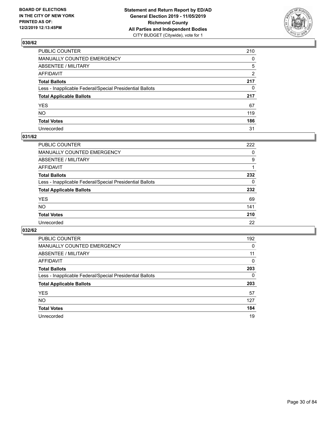

| PUBLIC COUNTER                                           | 210      |
|----------------------------------------------------------|----------|
| MANUALLY COUNTED EMERGENCY                               | $\Omega$ |
| ABSENTEE / MILITARY                                      | 5        |
| AFFIDAVIT                                                | 2        |
| Total Ballots                                            | 217      |
| Less - Inapplicable Federal/Special Presidential Ballots | 0        |
| <b>Total Applicable Ballots</b>                          | 217      |
| YES                                                      | 67       |
| NO.                                                      | 119      |
| <b>Total Votes</b>                                       | 186      |
| Unrecorded                                               | 31       |

### **031/62**

| <b>PUBLIC COUNTER</b>                                    | 222      |
|----------------------------------------------------------|----------|
| <b>MANUALLY COUNTED EMERGENCY</b>                        | 0        |
| ABSENTEE / MILITARY                                      | 9        |
| AFFIDAVIT                                                |          |
| <b>Total Ballots</b>                                     | 232      |
| Less - Inapplicable Federal/Special Presidential Ballots | $\Omega$ |
| <b>Total Applicable Ballots</b>                          | 232      |
| <b>YES</b>                                               | 69       |
| <b>NO</b>                                                | 141      |
| <b>Total Votes</b>                                       | 210      |
| Unrecorded                                               | 22       |

| <b>PUBLIC COUNTER</b>                                    | 192 |
|----------------------------------------------------------|-----|
| MANUALLY COUNTED EMERGENCY                               | 0   |
| ABSENTEE / MILITARY                                      | 11  |
| AFFIDAVIT                                                | 0   |
| <b>Total Ballots</b>                                     | 203 |
| Less - Inapplicable Federal/Special Presidential Ballots | 0   |
| <b>Total Applicable Ballots</b>                          | 203 |
| <b>YES</b>                                               | 57  |
| NO.                                                      | 127 |
| <b>Total Votes</b>                                       | 184 |
| Unrecorded                                               | 19  |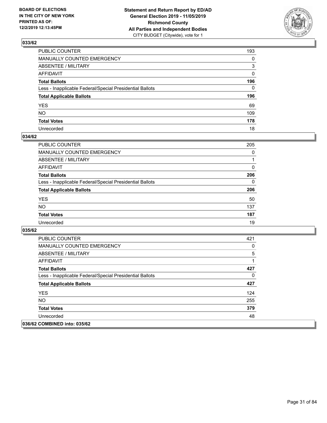

| PUBLIC COUNTER                                           | 193          |
|----------------------------------------------------------|--------------|
| MANUALLY COUNTED EMERGENCY                               | $\mathbf{0}$ |
| ABSENTEE / MILITARY                                      | 3            |
| AFFIDAVIT                                                | $\mathbf{0}$ |
| Total Ballots                                            | 196          |
| Less - Inapplicable Federal/Special Presidential Ballots | $\Omega$     |
| <b>Total Applicable Ballots</b>                          | 196          |
| YES                                                      | 69           |
| NO.                                                      | 109          |
| <b>Total Votes</b>                                       | 178          |
| Unrecorded                                               | 18           |

#### **034/62**

| <b>PUBLIC COUNTER</b>                                    | 205      |
|----------------------------------------------------------|----------|
| <b>MANUALLY COUNTED EMERGENCY</b>                        | 0        |
| ABSENTEE / MILITARY                                      |          |
| AFFIDAVIT                                                | $\Omega$ |
| <b>Total Ballots</b>                                     | 206      |
| Less - Inapplicable Federal/Special Presidential Ballots | $\Omega$ |
| <b>Total Applicable Ballots</b>                          | 206      |
| <b>YES</b>                                               | 50       |
| <b>NO</b>                                                | 137      |
| <b>Total Votes</b>                                       | 187      |
| Unrecorded                                               | 19       |

| <b>PUBLIC COUNTER</b>                                    | 421 |
|----------------------------------------------------------|-----|
| <b>MANUALLY COUNTED EMERGENCY</b>                        | 0   |
| ABSENTEE / MILITARY                                      | 5   |
| AFFIDAVIT                                                | 1   |
| <b>Total Ballots</b>                                     | 427 |
| Less - Inapplicable Federal/Special Presidential Ballots | 0   |
| <b>Total Applicable Ballots</b>                          | 427 |
| <b>YES</b>                                               | 124 |
| NO.                                                      | 255 |
| <b>Total Votes</b>                                       | 379 |
| Unrecorded                                               | 48  |
| 036/62 COMBINED into: 035/62                             |     |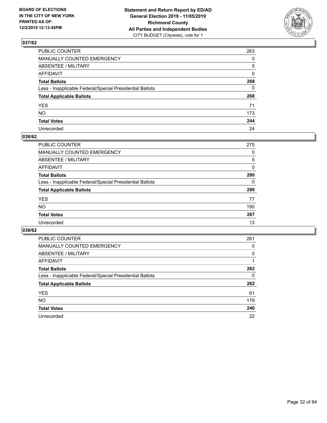

| PUBLIC COUNTER                                           | 263          |
|----------------------------------------------------------|--------------|
| MANUALLY COUNTED EMERGENCY                               | $\Omega$     |
| ABSENTEE / MILITARY                                      | 5            |
| AFFIDAVIT                                                | $\mathbf{0}$ |
| Total Ballots                                            | 268          |
| Less - Inapplicable Federal/Special Presidential Ballots | $\mathbf{0}$ |
| <b>Total Applicable Ballots</b>                          | 268          |
| YES                                                      | 71           |
| NO.                                                      | 173          |
| <b>Total Votes</b>                                       | 244          |
| Unrecorded                                               | 24           |

### **038/62**

| PUBLIC COUNTER                                           | 275      |
|----------------------------------------------------------|----------|
| MANUALLY COUNTED EMERGENCY                               | 0        |
| ABSENTEE / MILITARY                                      | 5        |
| AFFIDAVIT                                                | $\Omega$ |
| <b>Total Ballots</b>                                     | 280      |
| Less - Inapplicable Federal/Special Presidential Ballots | $\Omega$ |
| <b>Total Applicable Ballots</b>                          | 280      |
| <b>YES</b>                                               | 77       |
| <b>NO</b>                                                | 190      |
| <b>Total Votes</b>                                       | 267      |
| Unrecorded                                               | 13       |

| <b>PUBLIC COUNTER</b>                                    | 261      |
|----------------------------------------------------------|----------|
| MANUALLY COUNTED EMERGENCY                               | 0        |
| ABSENTEE / MILITARY                                      | $\Omega$ |
| AFFIDAVIT                                                |          |
| <b>Total Ballots</b>                                     | 262      |
| Less - Inapplicable Federal/Special Presidential Ballots | 0        |
| <b>Total Applicable Ballots</b>                          | 262      |
| <b>YES</b>                                               | 61       |
| NO.                                                      | 179      |
| <b>Total Votes</b>                                       | 240      |
| Unrecorded                                               | 22       |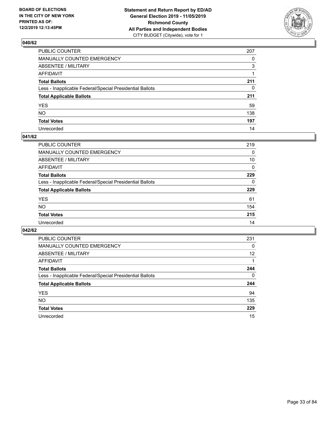

| PUBLIC COUNTER                                           | 207          |
|----------------------------------------------------------|--------------|
| MANUALLY COUNTED EMERGENCY                               | $\Omega$     |
| ABSENTEE / MILITARY                                      | 3            |
| AFFIDAVIT                                                |              |
| Total Ballots                                            | 211          |
| Less - Inapplicable Federal/Special Presidential Ballots | $\mathbf{0}$ |
| <b>Total Applicable Ballots</b>                          | 211          |
| YES                                                      | 59           |
| NO.                                                      | 138          |
| <b>Total Votes</b>                                       | 197          |
| Unrecorded                                               | 14           |

#### **041/62**

| <b>PUBLIC COUNTER</b>                                    | 219      |
|----------------------------------------------------------|----------|
| MANUALLY COUNTED EMERGENCY                               | 0        |
| ABSENTEE / MILITARY                                      | 10       |
| AFFIDAVIT                                                | $\Omega$ |
| <b>Total Ballots</b>                                     | 229      |
| Less - Inapplicable Federal/Special Presidential Ballots | $\Omega$ |
| <b>Total Applicable Ballots</b>                          | 229      |
| <b>YES</b>                                               | 61       |
| <b>NO</b>                                                | 154      |
| <b>Total Votes</b>                                       | 215      |
| Unrecorded                                               | 14       |

| <b>PUBLIC COUNTER</b>                                    | 231 |
|----------------------------------------------------------|-----|
| MANUALLY COUNTED EMERGENCY                               | 0   |
| ABSENTEE / MILITARY                                      | 12  |
| AFFIDAVIT                                                |     |
| <b>Total Ballots</b>                                     | 244 |
| Less - Inapplicable Federal/Special Presidential Ballots | 0   |
| <b>Total Applicable Ballots</b>                          | 244 |
| <b>YES</b>                                               | 94  |
| NO.                                                      | 135 |
| <b>Total Votes</b>                                       | 229 |
| Unrecorded                                               | 15  |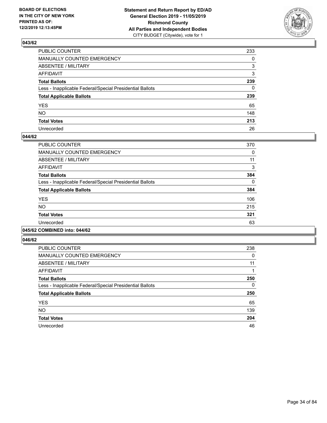

| PUBLIC COUNTER                                           | 233          |
|----------------------------------------------------------|--------------|
| MANUALLY COUNTED EMERGENCY                               | $\Omega$     |
| ABSENTEE / MILITARY                                      | 3            |
| AFFIDAVIT                                                | 3            |
| Total Ballots                                            | 239          |
| Less - Inapplicable Federal/Special Presidential Ballots | $\mathbf{0}$ |
| <b>Total Applicable Ballots</b>                          | 239          |
| YES                                                      | 65           |
| NO.                                                      | 148          |
| <b>Total Votes</b>                                       | 213          |
| Unrecorded                                               | 26           |

#### **044/62**

| PUBLIC COUNTER                                           | 370      |
|----------------------------------------------------------|----------|
| <b>MANUALLY COUNTED EMERGENCY</b>                        | 0        |
| ABSENTEE / MILITARY                                      | 11       |
| <b>AFFIDAVIT</b>                                         | 3        |
| <b>Total Ballots</b>                                     | 384      |
| Less - Inapplicable Federal/Special Presidential Ballots | $\Omega$ |
| <b>Total Applicable Ballots</b>                          | 384      |
| <b>YES</b>                                               | 106      |
| NO.                                                      | 215      |
| <b>Total Votes</b>                                       | 321      |
| Unrecorded                                               | 63       |
|                                                          |          |

#### **045/62 COMBINED into: 044/62**

| <b>PUBLIC COUNTER</b>                                    | 238 |
|----------------------------------------------------------|-----|
| <b>MANUALLY COUNTED EMERGENCY</b>                        | 0   |
| ABSENTEE / MILITARY                                      | 11  |
| <b>AFFIDAVIT</b>                                         |     |
| <b>Total Ballots</b>                                     | 250 |
| Less - Inapplicable Federal/Special Presidential Ballots | 0   |
| <b>Total Applicable Ballots</b>                          | 250 |
| <b>YES</b>                                               | 65  |
| <b>NO</b>                                                | 139 |
| <b>Total Votes</b>                                       | 204 |
| Unrecorded                                               |     |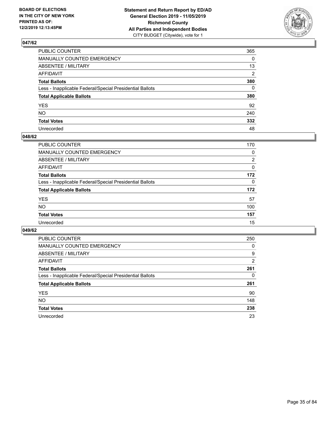

| PUBLIC COUNTER                                           | 365          |
|----------------------------------------------------------|--------------|
| MANUALLY COUNTED EMERGENCY                               | $\mathbf{0}$ |
| ABSENTEE / MILITARY                                      | 13           |
| AFFIDAVIT                                                | 2            |
| Total Ballots                                            | 380          |
| Less - Inapplicable Federal/Special Presidential Ballots | $\Omega$     |
| <b>Total Applicable Ballots</b>                          | 380          |
| YES                                                      | 92           |
| NO.                                                      | 240          |
| <b>Total Votes</b>                                       | 332          |
| Unrecorded                                               | 48           |

#### **048/62**

| PUBLIC COUNTER                                           | 170      |
|----------------------------------------------------------|----------|
| MANUALLY COUNTED EMERGENCY                               | 0        |
| ABSENTEE / MILITARY                                      | 2        |
| AFFIDAVIT                                                | $\Omega$ |
| <b>Total Ballots</b>                                     | 172      |
| Less - Inapplicable Federal/Special Presidential Ballots | $\Omega$ |
| <b>Total Applicable Ballots</b>                          | 172      |
| <b>YES</b>                                               | 57       |
| <b>NO</b>                                                | 100      |
| <b>Total Votes</b>                                       | 157      |
| Unrecorded                                               | 15       |

| <b>PUBLIC COUNTER</b>                                    | 250      |
|----------------------------------------------------------|----------|
| <b>MANUALLY COUNTED EMERGENCY</b>                        | 0        |
| ABSENTEE / MILITARY                                      | 9        |
| AFFIDAVIT                                                | 2        |
| <b>Total Ballots</b>                                     | 261      |
| Less - Inapplicable Federal/Special Presidential Ballots | $\Omega$ |
| <b>Total Applicable Ballots</b>                          | 261      |
| <b>YES</b>                                               | 90       |
| NO.                                                      | 148      |
| <b>Total Votes</b>                                       | 238      |
| Unrecorded                                               | 23       |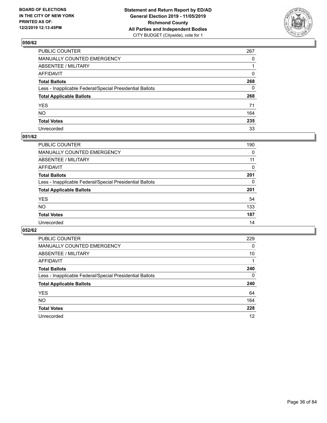

| PUBLIC COUNTER                                           | 267          |
|----------------------------------------------------------|--------------|
| MANUALLY COUNTED EMERGENCY                               | $\Omega$     |
| ABSENTEE / MILITARY                                      |              |
| AFFIDAVIT                                                | 0            |
| Total Ballots                                            | 268          |
| Less - Inapplicable Federal/Special Presidential Ballots | $\mathbf{0}$ |
| <b>Total Applicable Ballots</b>                          | 268          |
| YES                                                      | 71           |
| NO.                                                      | 164          |
| <b>Total Votes</b>                                       | 235          |
| Unrecorded                                               | 33           |

### **051/62**

| PUBLIC COUNTER                                           | 190      |
|----------------------------------------------------------|----------|
| MANUALLY COUNTED EMERGENCY                               | 0        |
| ABSENTEE / MILITARY                                      | 11       |
| AFFIDAVIT                                                | 0        |
| <b>Total Ballots</b>                                     | 201      |
| Less - Inapplicable Federal/Special Presidential Ballots | $\Omega$ |
| <b>Total Applicable Ballots</b>                          | 201      |
| <b>YES</b>                                               | 54       |
| <b>NO</b>                                                | 133      |
| <b>Total Votes</b>                                       | 187      |
| Unrecorded                                               | 14       |

| <b>PUBLIC COUNTER</b>                                    | 229 |
|----------------------------------------------------------|-----|
| MANUALLY COUNTED EMERGENCY                               | 0   |
| ABSENTEE / MILITARY                                      | 10  |
| AFFIDAVIT                                                |     |
| <b>Total Ballots</b>                                     | 240 |
| Less - Inapplicable Federal/Special Presidential Ballots | 0   |
| <b>Total Applicable Ballots</b>                          | 240 |
| <b>YES</b>                                               | 64  |
| NO.                                                      | 164 |
| <b>Total Votes</b>                                       | 228 |
| Unrecorded                                               | 12  |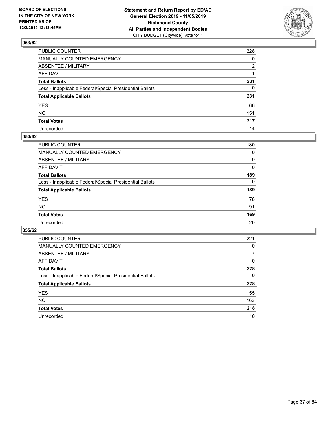

| PUBLIC COUNTER                                           | 228          |
|----------------------------------------------------------|--------------|
| MANUALLY COUNTED EMERGENCY                               | $\mathbf{0}$ |
| ABSENTEE / MILITARY                                      | 2            |
| AFFIDAVIT                                                |              |
| Total Ballots                                            | 231          |
| Less - Inapplicable Federal/Special Presidential Ballots | $\mathbf{0}$ |
| <b>Total Applicable Ballots</b>                          | 231          |
| YES                                                      | 66           |
| NO.                                                      | 151          |
| <b>Total Votes</b>                                       | 217          |
| Unrecorded                                               | 14           |

### **054/62**

| <b>PUBLIC COUNTER</b>                                    | 180      |
|----------------------------------------------------------|----------|
| <b>MANUALLY COUNTED EMERGENCY</b>                        | 0        |
| ABSENTEE / MILITARY                                      | 9        |
| AFFIDAVIT                                                | $\Omega$ |
| <b>Total Ballots</b>                                     | 189      |
| Less - Inapplicable Federal/Special Presidential Ballots | $\Omega$ |
| <b>Total Applicable Ballots</b>                          | 189      |
| <b>YES</b>                                               | 78       |
| <b>NO</b>                                                | 91       |
| <b>Total Votes</b>                                       | 169      |
| Unrecorded                                               | 20       |

| PUBLIC COUNTER                                           | 221      |
|----------------------------------------------------------|----------|
| <b>MANUALLY COUNTED EMERGENCY</b>                        | 0        |
| ABSENTEE / MILITARY                                      | 7        |
| AFFIDAVIT                                                | $\Omega$ |
| <b>Total Ballots</b>                                     | 228      |
| Less - Inapplicable Federal/Special Presidential Ballots | 0        |
| <b>Total Applicable Ballots</b>                          | 228      |
| <b>YES</b>                                               | 55       |
| <b>NO</b>                                                | 163      |
| <b>Total Votes</b>                                       | 218      |
| Unrecorded                                               | 10       |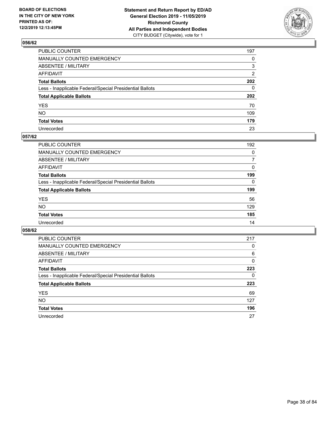

| PUBLIC COUNTER                                           | 197 |
|----------------------------------------------------------|-----|
| MANUALLY COUNTED EMERGENCY                               | 0   |
| ABSENTEE / MILITARY                                      | 3   |
| AFFIDAVIT                                                | 2   |
| Total Ballots                                            | 202 |
| Less - Inapplicable Federal/Special Presidential Ballots | 0   |
| <b>Total Applicable Ballots</b>                          | 202 |
| YES                                                      | 70  |
| NO.                                                      | 109 |
| <b>Total Votes</b>                                       | 179 |
| Unrecorded                                               | 23  |

### **057/62**

| <b>PUBLIC COUNTER</b>                                    | 192      |
|----------------------------------------------------------|----------|
| <b>MANUALLY COUNTED EMERGENCY</b>                        | 0        |
| ABSENTEE / MILITARY                                      | 7        |
| AFFIDAVIT                                                | $\Omega$ |
| <b>Total Ballots</b>                                     | 199      |
| Less - Inapplicable Federal/Special Presidential Ballots | $\Omega$ |
| <b>Total Applicable Ballots</b>                          | 199      |
| <b>YES</b>                                               | 56       |
| <b>NO</b>                                                | 129      |
| <b>Total Votes</b>                                       | 185      |
| Unrecorded                                               | 14       |

| PUBLIC COUNTER                                           | 217      |
|----------------------------------------------------------|----------|
| MANUALLY COUNTED EMERGENCY                               | 0        |
| ABSENTEE / MILITARY                                      | 6        |
| AFFIDAVIT                                                | $\Omega$ |
| <b>Total Ballots</b>                                     | 223      |
| Less - Inapplicable Federal/Special Presidential Ballots | 0        |
| <b>Total Applicable Ballots</b>                          | 223      |
| <b>YES</b>                                               | 69       |
| <b>NO</b>                                                | 127      |
| <b>Total Votes</b>                                       | 196      |
| Unrecorded                                               |          |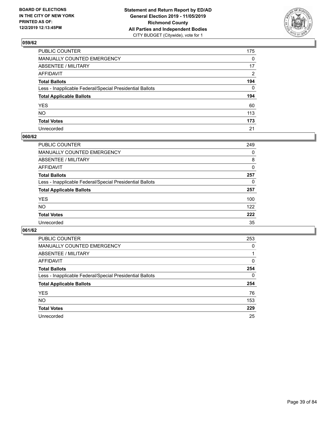

| PUBLIC COUNTER                                           | 175          |
|----------------------------------------------------------|--------------|
| MANUALLY COUNTED EMERGENCY                               | $\mathbf{0}$ |
| ABSENTEE / MILITARY                                      | 17           |
| AFFIDAVIT                                                | 2            |
| Total Ballots                                            | 194          |
| Less - Inapplicable Federal/Special Presidential Ballots | $\Omega$     |
| <b>Total Applicable Ballots</b>                          | 194          |
| YES                                                      | 60           |
| NO.                                                      | 113          |
| <b>Total Votes</b>                                       | 173          |
| Unrecorded                                               | 21           |

### **060/62**

| <b>PUBLIC COUNTER</b>                                    | 249      |
|----------------------------------------------------------|----------|
| MANUALLY COUNTED EMERGENCY                               | 0        |
| ABSENTEE / MILITARY                                      | 8        |
| AFFIDAVIT                                                | 0        |
| <b>Total Ballots</b>                                     | 257      |
| Less - Inapplicable Federal/Special Presidential Ballots | $\Omega$ |
| <b>Total Applicable Ballots</b>                          | 257      |
| <b>YES</b>                                               | 100      |
| <b>NO</b>                                                | 122      |
| <b>Total Votes</b>                                       | 222      |
| Unrecorded                                               | 35       |

| PUBLIC COUNTER                                           | 253      |
|----------------------------------------------------------|----------|
| MANUALLY COUNTED EMERGENCY                               | $\Omega$ |
| ABSENTEE / MILITARY                                      |          |
| AFFIDAVIT                                                | 0        |
| <b>Total Ballots</b>                                     | 254      |
| Less - Inapplicable Federal/Special Presidential Ballots | 0        |
| <b>Total Applicable Ballots</b>                          | 254      |
| <b>YES</b>                                               | 76       |
| NO.                                                      | 153      |
| <b>Total Votes</b>                                       | 229      |
| Unrecorded                                               | 25       |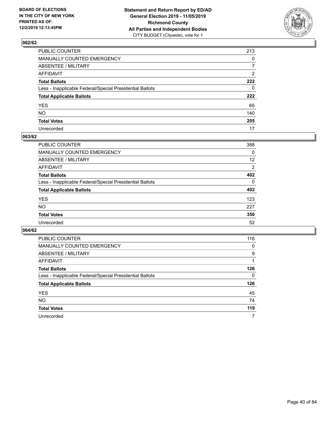

| PUBLIC COUNTER                                           | 213            |
|----------------------------------------------------------|----------------|
| MANUALLY COUNTED EMERGENCY                               | $\mathbf{0}$   |
| ABSENTEE / MILITARY                                      | $\overline{7}$ |
| AFFIDAVIT                                                | 2              |
| Total Ballots                                            | 222            |
| Less - Inapplicable Federal/Special Presidential Ballots | $\mathbf{0}$   |
| <b>Total Applicable Ballots</b>                          | 222            |
| YES                                                      | 65             |
| NO.                                                      | 140            |
| <b>Total Votes</b>                                       | 205            |
| Unrecorded                                               | 17             |

### **063/62**

| <b>PUBLIC COUNTER</b>                                    | 388      |
|----------------------------------------------------------|----------|
| MANUALLY COUNTED EMERGENCY                               | 0        |
| ABSENTEE / MILITARY                                      | 12       |
| AFFIDAVIT                                                | 2        |
| <b>Total Ballots</b>                                     | 402      |
| Less - Inapplicable Federal/Special Presidential Ballots | $\Omega$ |
| <b>Total Applicable Ballots</b>                          | 402      |
| <b>YES</b>                                               | 123      |
| <b>NO</b>                                                | 227      |
| <b>Total Votes</b>                                       | 350      |
| Unrecorded                                               | 52       |

| PUBLIC COUNTER                                           | 116      |
|----------------------------------------------------------|----------|
| MANUALLY COUNTED EMERGENCY                               | 0        |
| ABSENTEE / MILITARY                                      | 9        |
| AFFIDAVIT                                                |          |
| <b>Total Ballots</b>                                     | 126      |
| Less - Inapplicable Federal/Special Presidential Ballots | $\Omega$ |
| <b>Total Applicable Ballots</b>                          | 126      |
| <b>YES</b>                                               | 45       |
| <b>NO</b>                                                | 74       |
| <b>Total Votes</b>                                       | 119      |
| Unrecorded                                               | 7        |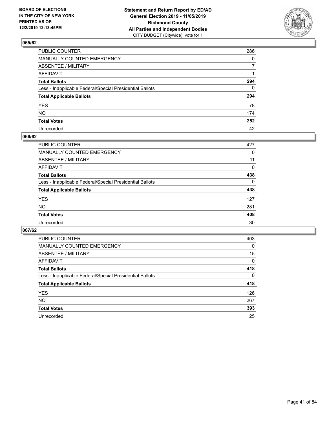

| PUBLIC COUNTER                                           | 286          |
|----------------------------------------------------------|--------------|
| MANUALLY COUNTED EMERGENCY                               | $\mathbf{0}$ |
| ABSENTEE / MILITARY                                      | 7            |
| AFFIDAVIT                                                |              |
| Total Ballots                                            | 294          |
| Less - Inapplicable Federal/Special Presidential Ballots | $\mathbf{0}$ |
| <b>Total Applicable Ballots</b>                          | 294          |
| YES                                                      | 78           |
| NO.                                                      | 174          |
| <b>Total Votes</b>                                       | 252          |
| Unrecorded                                               | 42           |

### **066/62**

| <b>PUBLIC COUNTER</b>                                    | 427      |
|----------------------------------------------------------|----------|
| <b>MANUALLY COUNTED EMERGENCY</b>                        | 0        |
| ABSENTEE / MILITARY                                      | 11       |
| AFFIDAVIT                                                | $\Omega$ |
| <b>Total Ballots</b>                                     | 438      |
| Less - Inapplicable Federal/Special Presidential Ballots | $\Omega$ |
| <b>Total Applicable Ballots</b>                          | 438      |
| <b>YES</b>                                               | 127      |
| <b>NO</b>                                                | 281      |
| <b>Total Votes</b>                                       | 408      |
| Unrecorded                                               | 30       |

| PUBLIC COUNTER                                           | 403      |
|----------------------------------------------------------|----------|
| MANUALLY COUNTED EMERGENCY                               | $\Omega$ |
| ABSENTEE / MILITARY                                      | 15       |
| AFFIDAVIT                                                | 0        |
| <b>Total Ballots</b>                                     | 418      |
| Less - Inapplicable Federal/Special Presidential Ballots | $\Omega$ |
| <b>Total Applicable Ballots</b>                          | 418      |
| <b>YES</b>                                               | 126      |
| NO.                                                      | 267      |
| <b>Total Votes</b>                                       | 393      |
| Unrecorded                                               | 25       |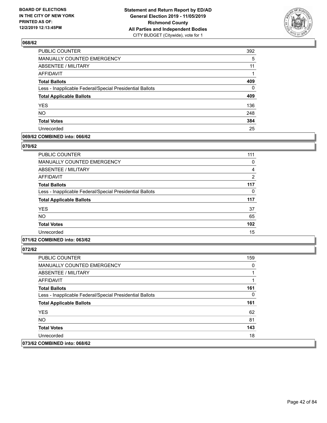

| PUBLIC COUNTER                                           | 392          |
|----------------------------------------------------------|--------------|
| MANUALLY COUNTED EMERGENCY                               | 5            |
| <b>ABSENTEE / MILITARY</b>                               | 11           |
| <b>AFFIDAVIT</b>                                         | 1            |
| <b>Total Ballots</b>                                     | 409          |
| Less - Inapplicable Federal/Special Presidential Ballots | $\mathbf{0}$ |
| <b>Total Applicable Ballots</b>                          | 409          |
| <b>YES</b>                                               | 136          |
| <b>NO</b>                                                | 248          |
| <b>Total Votes</b>                                       | 384          |
| Unrecorded                                               | 25           |

### **069/62 COMBINED into: 066/62**

#### **070/62**

| PUBLIC COUNTER                                           | 111           |
|----------------------------------------------------------|---------------|
| <b>MANUALLY COUNTED EMERGENCY</b>                        | 0             |
| <b>ABSENTEE / MILITARY</b>                               | 4             |
| <b>AFFIDAVIT</b>                                         | $\mathcal{P}$ |
| <b>Total Ballots</b>                                     | 117           |
| Less - Inapplicable Federal/Special Presidential Ballots | 0             |
| <b>Total Applicable Ballots</b>                          | 117           |
| <b>YES</b>                                               | 37            |
| <b>NO</b>                                                | 65            |
| <b>Total Votes</b>                                       | 102           |
| Unrecorded                                               | 15            |
|                                                          |               |

### **071/62 COMBINED into: 063/62**

| <b>PUBLIC COUNTER</b>                                    | 159 |
|----------------------------------------------------------|-----|
| <b>MANUALLY COUNTED EMERGENCY</b>                        | 0   |
| ABSENTEE / MILITARY                                      |     |
| AFFIDAVIT                                                |     |
| <b>Total Ballots</b>                                     | 161 |
| Less - Inapplicable Federal/Special Presidential Ballots | 0   |
| <b>Total Applicable Ballots</b>                          | 161 |
| <b>YES</b>                                               | 62  |
| NO.                                                      | 81  |
| <b>Total Votes</b>                                       | 143 |
| Unrecorded                                               | 18  |
| 073/62 COMBINED into: 068/62                             |     |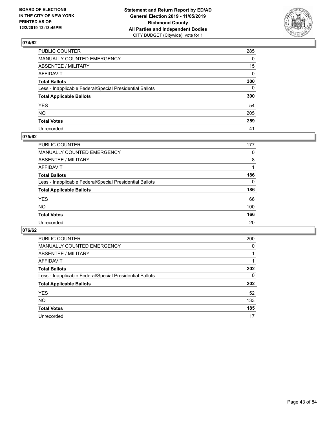

| PUBLIC COUNTER                                           | 285          |
|----------------------------------------------------------|--------------|
| MANUALLY COUNTED EMERGENCY                               | $\mathbf{0}$ |
| ABSENTEE / MILITARY                                      | 15           |
| AFFIDAVIT                                                | 0            |
| Total Ballots                                            | 300          |
| Less - Inapplicable Federal/Special Presidential Ballots | 0            |
| <b>Total Applicable Ballots</b>                          | 300          |
| YES                                                      | 54           |
| NO.                                                      | 205          |
| <b>Total Votes</b>                                       | 259          |
| Unrecorded                                               | 41           |

### **075/62**

| 177      |
|----------|
| 0        |
| 8        |
|          |
| 186      |
| $\Omega$ |
| 186      |
| 66       |
| 100      |
| 166      |
| 20       |
|          |

| PUBLIC COUNTER                                           | 200      |
|----------------------------------------------------------|----------|
| <b>MANUALLY COUNTED EMERGENCY</b>                        | $\Omega$ |
| ABSENTEE / MILITARY                                      |          |
| AFFIDAVIT                                                |          |
| <b>Total Ballots</b>                                     | 202      |
| Less - Inapplicable Federal/Special Presidential Ballots | 0        |
| <b>Total Applicable Ballots</b>                          | 202      |
| <b>YES</b>                                               | 52       |
| <b>NO</b>                                                | 133      |
| <b>Total Votes</b>                                       | 185      |
| Unrecorded                                               | 17       |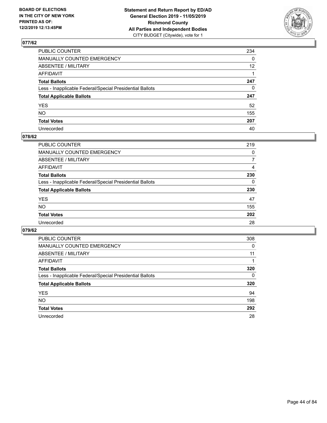

| PUBLIC COUNTER                                           | 234             |
|----------------------------------------------------------|-----------------|
| MANUALLY COUNTED EMERGENCY                               | $\mathbf{0}$    |
| ABSENTEE / MILITARY                                      | 12 <sup>2</sup> |
| AFFIDAVIT                                                |                 |
| Total Ballots                                            | 247             |
| Less - Inapplicable Federal/Special Presidential Ballots | $\mathbf{0}$    |
| <b>Total Applicable Ballots</b>                          | 247             |
| YES                                                      | 52              |
| NO.                                                      | 155             |
| <b>Total Votes</b>                                       | 207             |
| Unrecorded                                               | 40              |

### **078/62**

| <b>PUBLIC COUNTER</b>                                    | 219      |
|----------------------------------------------------------|----------|
| MANUALLY COUNTED EMERGENCY                               | 0        |
| ABSENTEE / MILITARY                                      |          |
| AFFIDAVIT                                                | 4        |
| <b>Total Ballots</b>                                     | 230      |
| Less - Inapplicable Federal/Special Presidential Ballots | $\Omega$ |
| <b>Total Applicable Ballots</b>                          | 230      |
| <b>YES</b>                                               | 47       |
| <b>NO</b>                                                | 155      |
| <b>Total Votes</b>                                       | 202      |
| Unrecorded                                               | 28       |

| PUBLIC COUNTER                                           | 308      |
|----------------------------------------------------------|----------|
| MANUALLY COUNTED EMERGENCY                               | 0        |
| ABSENTEE / MILITARY                                      | 11       |
| AFFIDAVIT                                                |          |
| <b>Total Ballots</b>                                     | 320      |
| Less - Inapplicable Federal/Special Presidential Ballots | $\Omega$ |
| <b>Total Applicable Ballots</b>                          | 320      |
| <b>YES</b>                                               | 94       |
| <b>NO</b>                                                | 198      |
| <b>Total Votes</b>                                       | 292      |
| Unrecorded                                               | 28       |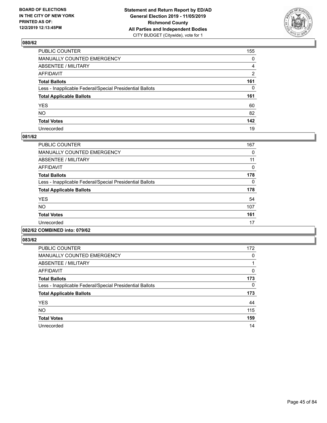

| PUBLIC COUNTER                                           | 155 |
|----------------------------------------------------------|-----|
| MANUALLY COUNTED EMERGENCY                               | 0   |
| ABSENTEE / MILITARY                                      | 4   |
| AFFIDAVIT                                                | 2   |
| Total Ballots                                            | 161 |
| Less - Inapplicable Federal/Special Presidential Ballots | 0   |
| <b>Total Applicable Ballots</b>                          | 161 |
| YES                                                      | 60  |
| NO.                                                      | 82  |
| <b>Total Votes</b>                                       | 142 |
| Unrecorded                                               | 19  |

### **081/62**

| PUBLIC COUNTER                                           | 167      |
|----------------------------------------------------------|----------|
| <b>MANUALLY COUNTED EMERGENCY</b>                        | 0        |
| ABSENTEE / MILITARY                                      | 11       |
| <b>AFFIDAVIT</b>                                         | 0        |
| <b>Total Ballots</b>                                     | 178      |
| Less - Inapplicable Federal/Special Presidential Ballots | $\Omega$ |
| <b>Total Applicable Ballots</b>                          | 178      |
| <b>YES</b>                                               | 54       |
| <b>NO</b>                                                | 107      |
| <b>Total Votes</b>                                       | 161      |
| Unrecorded                                               | 17       |
|                                                          |          |

#### **082/62 COMBINED into: 079/62**

| PUBLIC COUNTER                                           | 172 |
|----------------------------------------------------------|-----|
| <b>MANUALLY COUNTED EMERGENCY</b>                        | 0   |
| ABSENTEE / MILITARY                                      |     |
| <b>AFFIDAVIT</b>                                         | 0   |
| <b>Total Ballots</b>                                     | 173 |
| Less - Inapplicable Federal/Special Presidential Ballots | 0   |
| <b>Total Applicable Ballots</b>                          | 173 |
| <b>YES</b>                                               | 44  |
| <b>NO</b>                                                | 115 |
| <b>Total Votes</b>                                       | 159 |
| Unrecorded                                               | 14  |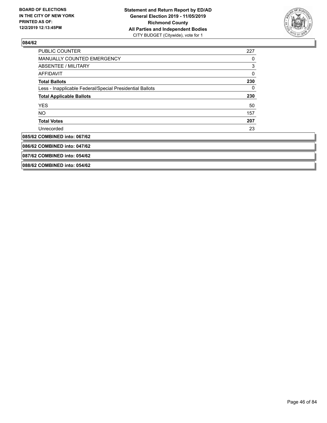

| <b>PUBLIC COUNTER</b>                                    | 227 |
|----------------------------------------------------------|-----|
| <b>MANUALLY COUNTED EMERGENCY</b>                        | 0   |
| ABSENTEE / MILITARY                                      | 3   |
| <b>AFFIDAVIT</b>                                         | 0   |
| <b>Total Ballots</b>                                     | 230 |
| Less - Inapplicable Federal/Special Presidential Ballots | 0   |
| <b>Total Applicable Ballots</b>                          | 230 |
| <b>YES</b>                                               | 50  |
| <b>NO</b>                                                | 157 |
| <b>Total Votes</b>                                       | 207 |
| Unrecorded                                               | 23  |
| 085/62 COMBINED into: 067/62                             |     |
| 086/62 COMBINED into: 047/62                             |     |
| 087/62 COMBINED into: 054/62                             |     |
| 088/62 COMBINED into: 054/62                             |     |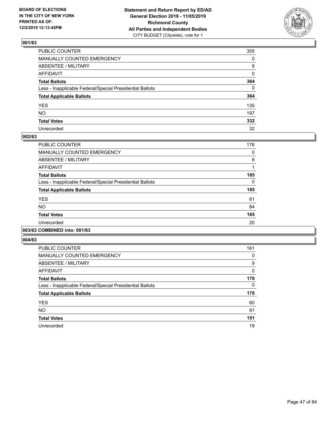

| PUBLIC COUNTER                                           | 355          |
|----------------------------------------------------------|--------------|
| MANUALLY COUNTED EMERGENCY                               | $\mathbf{0}$ |
| ABSENTEE / MILITARY                                      | 9            |
| AFFIDAVIT                                                | 0            |
| Total Ballots                                            | 364          |
| Less - Inapplicable Federal/Special Presidential Ballots | 0            |
| <b>Total Applicable Ballots</b>                          | 364          |
| YES                                                      | 135          |
| NO.                                                      | 197          |
| <b>Total Votes</b>                                       | 332          |
| Unrecorded                                               | 32           |

### **002/63**

| PUBLIC COUNTER                                           | 176      |
|----------------------------------------------------------|----------|
| <b>MANUALLY COUNTED EMERGENCY</b>                        | 0        |
| ABSENTEE / MILITARY                                      | 8        |
| <b>AFFIDAVIT</b>                                         |          |
| <b>Total Ballots</b>                                     | 185      |
| Less - Inapplicable Federal/Special Presidential Ballots | $\Omega$ |
| <b>Total Applicable Ballots</b>                          | 185      |
| <b>YES</b>                                               | 81       |
| <b>NO</b>                                                | 84       |
| <b>Total Votes</b>                                       | 165      |
| Unrecorded                                               | 20       |
|                                                          |          |

### **003/63 COMBINED into: 001/63**

| PUBLIC COUNTER                                           | 161 |
|----------------------------------------------------------|-----|
| <b>MANUALLY COUNTED EMERGENCY</b>                        | 0   |
| ABSENTEE / MILITARY                                      | 9   |
| <b>AFFIDAVIT</b>                                         | 0   |
| <b>Total Ballots</b>                                     | 170 |
| Less - Inapplicable Federal/Special Presidential Ballots | 0   |
| <b>Total Applicable Ballots</b>                          | 170 |
| <b>YES</b>                                               | 60  |
| <b>NO</b>                                                | 91  |
| <b>Total Votes</b>                                       | 151 |
| Unrecorded                                               | 19  |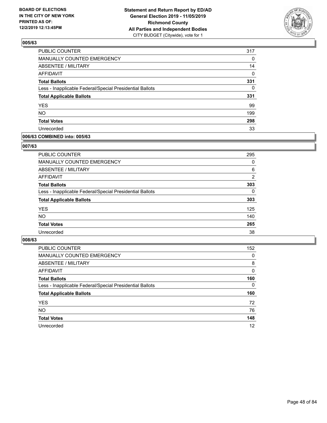

| PUBLIC COUNTER                                           | 317      |
|----------------------------------------------------------|----------|
| <b>MANUALLY COUNTED EMERGENCY</b>                        | 0        |
| <b>ABSENTEE / MILITARY</b>                               | 14       |
| <b>AFFIDAVIT</b>                                         | 0        |
| <b>Total Ballots</b>                                     | 331      |
| Less - Inapplicable Federal/Special Presidential Ballots | $\Omega$ |
| <b>Total Applicable Ballots</b>                          | 331      |
| <b>YES</b>                                               | 99       |
| <b>NO</b>                                                | 199      |
| <b>Total Votes</b>                                       | 298      |
| Unrecorded                                               | 33       |

### **006/63 COMBINED into: 005/63**

### **007/63**

| <b>PUBLIC COUNTER</b>                                    | 295      |
|----------------------------------------------------------|----------|
| MANUALLY COUNTED EMERGENCY                               | 0        |
| ABSENTEE / MILITARY                                      | 6        |
| AFFIDAVIT                                                | 2        |
| <b>Total Ballots</b>                                     | 303      |
| Less - Inapplicable Federal/Special Presidential Ballots | $\Omega$ |
| <b>Total Applicable Ballots</b>                          | 303      |
| <b>YES</b>                                               | 125      |
| <b>NO</b>                                                | 140      |
| <b>Total Votes</b>                                       | 265      |
| Unrecorded                                               | 38       |

| <b>PUBLIC COUNTER</b>                                    | 152      |
|----------------------------------------------------------|----------|
| <b>MANUALLY COUNTED EMERGENCY</b>                        | $\Omega$ |
| ABSENTEE / MILITARY                                      | 8        |
| AFFIDAVIT                                                | $\Omega$ |
| <b>Total Ballots</b>                                     | 160      |
| Less - Inapplicable Federal/Special Presidential Ballots | 0        |
| <b>Total Applicable Ballots</b>                          | 160      |
| <b>YES</b>                                               | 72       |
| <b>NO</b>                                                | 76       |
| <b>Total Votes</b>                                       | 148      |
| Unrecorded                                               | 12       |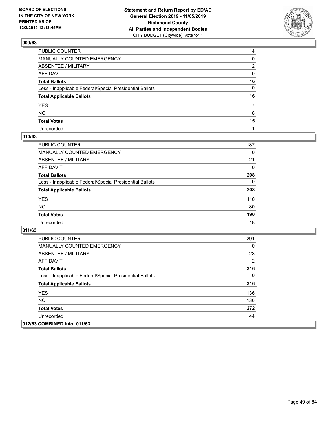

| PUBLIC COUNTER                                           | 14 |
|----------------------------------------------------------|----|
| MANUALLY COUNTED EMERGENCY                               | 0  |
| ABSENTEE / MILITARY                                      | 2  |
| AFFIDAVIT                                                | 0  |
| Total Ballots                                            | 16 |
| Less - Inapplicable Federal/Special Presidential Ballots | 0  |
| <b>Total Applicable Ballots</b>                          | 16 |
| YES                                                      | 7  |
| NO.                                                      | 8  |
| <b>Total Votes</b>                                       | 15 |
| Unrecorded                                               |    |

### **010/63**

| <b>PUBLIC COUNTER</b>                                    | 187      |
|----------------------------------------------------------|----------|
| MANUALLY COUNTED EMERGENCY                               | 0        |
| ABSENTEE / MILITARY                                      | 21       |
| AFFIDAVIT                                                | $\Omega$ |
| <b>Total Ballots</b>                                     | 208      |
| Less - Inapplicable Federal/Special Presidential Ballots | $\Omega$ |
| <b>Total Applicable Ballots</b>                          | 208      |
| <b>YES</b>                                               | 110      |
| <b>NO</b>                                                | 80       |
| <b>Total Votes</b>                                       | 190      |
| Unrecorded                                               | 18       |

| <b>PUBLIC COUNTER</b>                                    | 291      |
|----------------------------------------------------------|----------|
| <b>MANUALLY COUNTED EMERGENCY</b>                        | $\Omega$ |
| ABSENTEE / MILITARY                                      | 23       |
| AFFIDAVIT                                                | 2        |
| <b>Total Ballots</b>                                     | 316      |
| Less - Inapplicable Federal/Special Presidential Ballots | $\Omega$ |
| <b>Total Applicable Ballots</b>                          | 316      |
| <b>YES</b>                                               | 136      |
| <b>NO</b>                                                | 136      |
| <b>Total Votes</b>                                       | 272      |
| Unrecorded                                               | 44       |
| 012/63 COMBINED into: 011/63                             |          |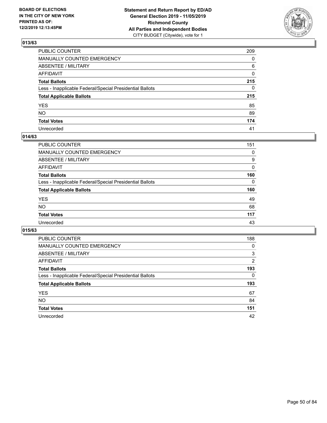

| PUBLIC COUNTER                                           | 209         |
|----------------------------------------------------------|-------------|
| MANUALLY COUNTED EMERGENCY                               | $\Omega$    |
| ABSENTEE / MILITARY                                      | 6           |
| AFFIDAVIT                                                | $\mathbf 0$ |
| Total Ballots                                            | 215         |
| Less - Inapplicable Federal/Special Presidential Ballots | $\Omega$    |
| <b>Total Applicable Ballots</b>                          | 215         |
| YES                                                      | 85          |
| NO.                                                      | 89          |
| <b>Total Votes</b>                                       | 174         |
| Unrecorded                                               | 41          |

### **014/63**

| <b>PUBLIC COUNTER</b>                                    | 151      |
|----------------------------------------------------------|----------|
| <b>MANUALLY COUNTED EMERGENCY</b>                        | 0        |
| ABSENTEE / MILITARY                                      | 9        |
| AFFIDAVIT                                                | 0        |
| <b>Total Ballots</b>                                     | 160      |
| Less - Inapplicable Federal/Special Presidential Ballots | $\Omega$ |
| <b>Total Applicable Ballots</b>                          | 160      |
| <b>YES</b>                                               | 49       |
| <b>NO</b>                                                | 68       |
| <b>Total Votes</b>                                       | 117      |
| Unrecorded                                               | 43       |

| PUBLIC COUNTER                                           | 188            |
|----------------------------------------------------------|----------------|
| MANUALLY COUNTED EMERGENCY                               | 0              |
| ABSENTEE / MILITARY                                      | 3              |
| AFFIDAVIT                                                | $\overline{2}$ |
| <b>Total Ballots</b>                                     | 193            |
| Less - Inapplicable Federal/Special Presidential Ballots | 0              |
| <b>Total Applicable Ballots</b>                          | 193            |
| <b>YES</b>                                               | 67             |
| NO.                                                      | 84             |
|                                                          |                |
| <b>Total Votes</b>                                       | 151            |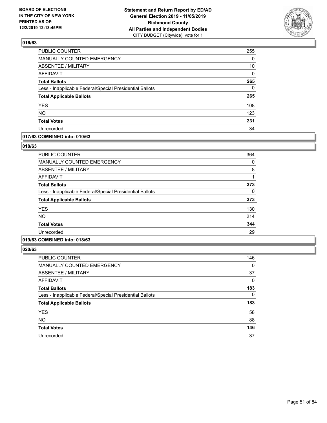

| PUBLIC COUNTER                                           | 255      |
|----------------------------------------------------------|----------|
| MANUALLY COUNTED EMERGENCY                               | 0        |
| <b>ABSENTEE / MILITARY</b>                               | 10       |
| <b>AFFIDAVIT</b>                                         | 0        |
| <b>Total Ballots</b>                                     | 265      |
| Less - Inapplicable Federal/Special Presidential Ballots | $\Omega$ |
| <b>Total Applicable Ballots</b>                          | 265      |
| <b>YES</b>                                               | 108      |
| <b>NO</b>                                                | 123      |
| <b>Total Votes</b>                                       | 231      |
| Unrecorded                                               | 34       |

### **017/63 COMBINED into: 010/63**

### **018/63**

| PUBLIC COUNTER                                           | 364 |
|----------------------------------------------------------|-----|
| <b>MANUALLY COUNTED EMERGENCY</b>                        | 0   |
| ABSENTEE / MILITARY                                      | 8   |
| <b>AFFIDAVIT</b>                                         | 1   |
| <b>Total Ballots</b>                                     | 373 |
| Less - Inapplicable Federal/Special Presidential Ballots | 0   |
| <b>Total Applicable Ballots</b>                          | 373 |
| <b>YES</b>                                               | 130 |
| <b>NO</b>                                                | 214 |
| <b>Total Votes</b>                                       | 344 |
| Unrecorded                                               | 29  |
|                                                          |     |

## **019/63 COMBINED into: 018/63**

| <b>PUBLIC COUNTER</b>                                    | 146 |
|----------------------------------------------------------|-----|
| MANUALLY COUNTED EMERGENCY                               | 0   |
| <b>ABSENTEE / MILITARY</b>                               | 37  |
| AFFIDAVIT                                                | 0   |
| <b>Total Ballots</b>                                     | 183 |
| Less - Inapplicable Federal/Special Presidential Ballots | 0   |
| <b>Total Applicable Ballots</b>                          | 183 |
| <b>YES</b>                                               | 58  |
| <b>NO</b>                                                | 88  |
| <b>Total Votes</b>                                       | 146 |
| Unrecorded                                               | 37  |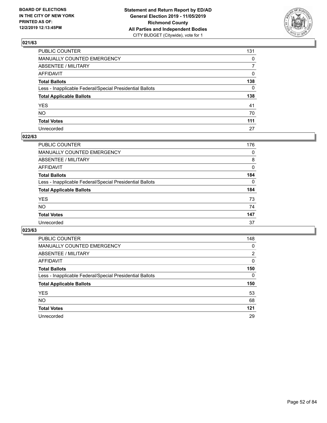

| PUBLIC COUNTER                                           | 131            |
|----------------------------------------------------------|----------------|
| MANUALLY COUNTED EMERGENCY                               | $\mathbf{0}$   |
| ABSENTEE / MILITARY                                      | $\overline{7}$ |
| AFFIDAVIT                                                | $\mathbf{0}$   |
| Total Ballots                                            | 138            |
| Less - Inapplicable Federal/Special Presidential Ballots | $\mathbf{0}$   |
| <b>Total Applicable Ballots</b>                          | 138            |
| YES                                                      | 41             |
| NO.                                                      | 70             |
| <b>Total Votes</b>                                       | 111            |
| Unrecorded                                               | 27             |

### **022/63**

| <b>PUBLIC COUNTER</b>                                    | 176      |
|----------------------------------------------------------|----------|
| <b>MANUALLY COUNTED EMERGENCY</b>                        | 0        |
| ABSENTEE / MILITARY                                      | 8        |
| AFFIDAVIT                                                | 0        |
| <b>Total Ballots</b>                                     | 184      |
| Less - Inapplicable Federal/Special Presidential Ballots | $\Omega$ |
| <b>Total Applicable Ballots</b>                          | 184      |
| <b>YES</b>                                               | 73       |
| <b>NO</b>                                                | 74       |
| <b>Total Votes</b>                                       | 147      |
| Unrecorded                                               | 37       |

| PUBLIC COUNTER                                           | 148      |
|----------------------------------------------------------|----------|
| <b>MANUALLY COUNTED EMERGENCY</b>                        | 0        |
| ABSENTEE / MILITARY                                      | 2        |
| AFFIDAVIT                                                | $\Omega$ |
| <b>Total Ballots</b>                                     | 150      |
| Less - Inapplicable Federal/Special Presidential Ballots | $\Omega$ |
| <b>Total Applicable Ballots</b>                          | 150      |
| <b>YES</b>                                               | 53       |
| NO.                                                      | 68       |
| <b>Total Votes</b>                                       | 121      |
| Unrecorded                                               | 29       |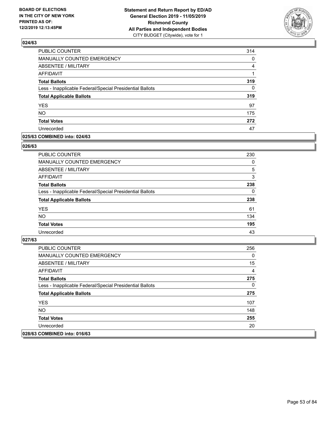

| PUBLIC COUNTER                                           | 314      |
|----------------------------------------------------------|----------|
| MANUALLY COUNTED EMERGENCY                               | 0        |
| <b>ABSENTEE / MILITARY</b>                               | 4        |
| <b>AFFIDAVIT</b>                                         |          |
| <b>Total Ballots</b>                                     | 319      |
| Less - Inapplicable Federal/Special Presidential Ballots | $\Omega$ |
| <b>Total Applicable Ballots</b>                          | 319      |
| <b>YES</b>                                               | 97       |
| <b>NO</b>                                                | 175      |
| <b>Total Votes</b>                                       | 272      |
| Unrecorded                                               | 47       |

### **025/63 COMBINED into: 024/63**

#### **026/63**

| <b>PUBLIC COUNTER</b>                                    | 230      |
|----------------------------------------------------------|----------|
| <b>MANUALLY COUNTED EMERGENCY</b>                        | $\Omega$ |
| ABSENTEE / MILITARY                                      | 5        |
| AFFIDAVIT                                                | 3        |
| <b>Total Ballots</b>                                     | 238      |
| Less - Inapplicable Federal/Special Presidential Ballots | 0        |
| <b>Total Applicable Ballots</b>                          | 238      |
| <b>YES</b>                                               | 61       |
| <b>NO</b>                                                | 134      |
| <b>Total Votes</b>                                       | 195      |
| Unrecorded                                               | 43       |
|                                                          |          |

| PUBLIC COUNTER                                           | 256 |
|----------------------------------------------------------|-----|
| <b>MANUALLY COUNTED EMERGENCY</b>                        | 0   |
| ABSENTEE / MILITARY                                      | 15  |
| AFFIDAVIT                                                | 4   |
| <b>Total Ballots</b>                                     | 275 |
| Less - Inapplicable Federal/Special Presidential Ballots | 0   |
| <b>Total Applicable Ballots</b>                          | 275 |
| <b>YES</b>                                               | 107 |
| NO.                                                      | 148 |
| <b>Total Votes</b>                                       | 255 |
| Unrecorded                                               | 20  |
| 028/63 COMBINED into: 016/63                             |     |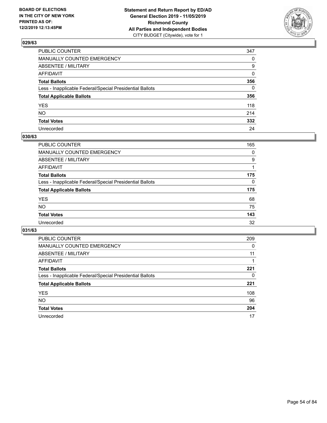

| PUBLIC COUNTER                                           | 347      |
|----------------------------------------------------------|----------|
| MANUALLY COUNTED EMERGENCY                               | $\Omega$ |
| ABSENTEE / MILITARY                                      | 9        |
| AFFIDAVIT                                                | $\Omega$ |
| Total Ballots                                            | 356      |
| Less - Inapplicable Federal/Special Presidential Ballots | $\Omega$ |
| <b>Total Applicable Ballots</b>                          | 356      |
| YES                                                      | 118      |
| NΟ                                                       | 214      |
| <b>Total Votes</b>                                       | 332      |
| Unrecorded                                               | 24       |

### **030/63**

| PUBLIC COUNTER                                           | 165 |
|----------------------------------------------------------|-----|
| MANUALLY COUNTED EMERGENCY                               | 0   |
| ABSENTEE / MILITARY                                      | 9   |
| AFFIDAVIT                                                |     |
| <b>Total Ballots</b>                                     | 175 |
| Less - Inapplicable Federal/Special Presidential Ballots | 0   |
| <b>Total Applicable Ballots</b>                          | 175 |
| <b>YES</b>                                               | 68  |
| <b>NO</b>                                                | 75  |
| <b>Total Votes</b>                                       | 143 |
| Unrecorded                                               | 32  |

| <b>PUBLIC COUNTER</b>                                    | 209      |
|----------------------------------------------------------|----------|
| <b>MANUALLY COUNTED EMERGENCY</b>                        | $\Omega$ |
| ABSENTEE / MILITARY                                      | 11       |
| AFFIDAVIT                                                |          |
| <b>Total Ballots</b>                                     | 221      |
| Less - Inapplicable Federal/Special Presidential Ballots | 0        |
| <b>Total Applicable Ballots</b>                          | 221      |
| <b>YES</b>                                               | 108      |
| <b>NO</b>                                                | 96       |
| <b>Total Votes</b>                                       | 204      |
| Unrecorded                                               | 17       |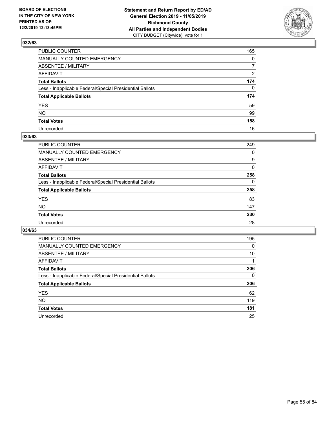

| PUBLIC COUNTER                                           | 165            |
|----------------------------------------------------------|----------------|
| MANUALLY COUNTED EMERGENCY                               | $\mathbf{0}$   |
| ABSENTEE / MILITARY                                      | $\overline{7}$ |
| AFFIDAVIT                                                | 2              |
| Total Ballots                                            | 174            |
| Less - Inapplicable Federal/Special Presidential Ballots | $\Omega$       |
| <b>Total Applicable Ballots</b>                          | 174            |
| YES                                                      | 59             |
| NO.                                                      | 99             |
| <b>Total Votes</b>                                       | 158            |
| Unrecorded                                               | 16             |

### **033/63**

| <b>PUBLIC COUNTER</b>                                    | 249      |
|----------------------------------------------------------|----------|
| <b>MANUALLY COUNTED EMERGENCY</b>                        | 0        |
| ABSENTEE / MILITARY                                      | 9        |
| AFFIDAVIT                                                | 0        |
| <b>Total Ballots</b>                                     | 258      |
| Less - Inapplicable Federal/Special Presidential Ballots | $\Omega$ |
| <b>Total Applicable Ballots</b>                          | 258      |
| <b>YES</b>                                               | 83       |
| <b>NO</b>                                                | 147      |
| <b>Total Votes</b>                                       | 230      |
| Unrecorded                                               | 28       |

| <b>PUBLIC COUNTER</b>                                    | 195 |
|----------------------------------------------------------|-----|
| MANUALLY COUNTED EMERGENCY                               | 0   |
| ABSENTEE / MILITARY                                      | 10  |
| AFFIDAVIT                                                |     |
| <b>Total Ballots</b>                                     | 206 |
| Less - Inapplicable Federal/Special Presidential Ballots | 0   |
| <b>Total Applicable Ballots</b>                          | 206 |
| <b>YES</b>                                               | 62  |
| NO.                                                      | 119 |
| <b>Total Votes</b>                                       | 181 |
| Unrecorded                                               | 25  |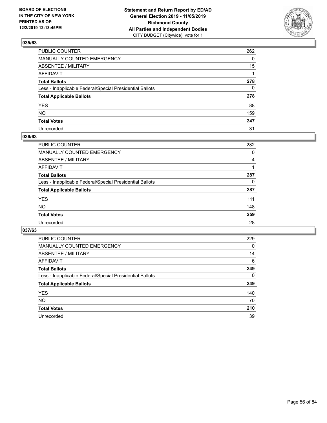

| PUBLIC COUNTER                                           | 262          |
|----------------------------------------------------------|--------------|
| MANUALLY COUNTED EMERGENCY                               | $\mathbf{0}$ |
| ABSENTEE / MILITARY                                      | 15           |
| AFFIDAVIT                                                |              |
| Total Ballots                                            | 278          |
| Less - Inapplicable Federal/Special Presidential Ballots | $\mathbf{0}$ |
| <b>Total Applicable Ballots</b>                          | 278          |
| YES                                                      | 88           |
| NO.                                                      | 159          |
| <b>Total Votes</b>                                       | 247          |
| Unrecorded                                               | 31           |

### **036/63**

| <b>PUBLIC COUNTER</b>                                    | 282 |
|----------------------------------------------------------|-----|
| MANUALLY COUNTED EMERGENCY                               | 0   |
| ABSENTEE / MILITARY                                      | 4   |
| AFFIDAVIT                                                |     |
| <b>Total Ballots</b>                                     | 287 |
| Less - Inapplicable Federal/Special Presidential Ballots | 0   |
| <b>Total Applicable Ballots</b>                          | 287 |
| <b>YES</b>                                               | 111 |
| <b>NO</b>                                                | 148 |
| <b>Total Votes</b>                                       | 259 |
| Unrecorded                                               | 28  |

| <b>PUBLIC COUNTER</b>                                    | 229 |
|----------------------------------------------------------|-----|
| <b>MANUALLY COUNTED EMERGENCY</b>                        | 0   |
| ABSENTEE / MILITARY                                      | 14  |
| AFFIDAVIT                                                | 6   |
| <b>Total Ballots</b>                                     | 249 |
| Less - Inapplicable Federal/Special Presidential Ballots | 0   |
| <b>Total Applicable Ballots</b>                          | 249 |
| <b>YES</b>                                               | 140 |
| NO.                                                      | 70  |
| <b>Total Votes</b>                                       | 210 |
| Unrecorded                                               | 39  |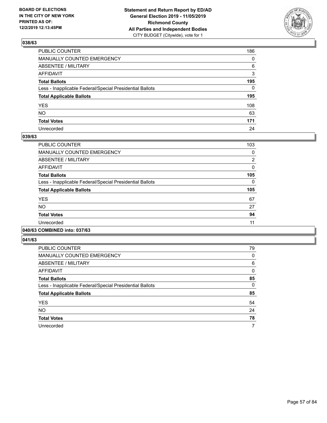

| PUBLIC COUNTER                                           | 186          |
|----------------------------------------------------------|--------------|
| MANUALLY COUNTED EMERGENCY                               | $\mathbf{0}$ |
| ABSENTEE / MILITARY                                      | 6            |
| AFFIDAVIT                                                | 3            |
| Total Ballots                                            | 195          |
| Less - Inapplicable Federal/Special Presidential Ballots | $\Omega$     |
| <b>Total Applicable Ballots</b>                          | 195          |
| YES                                                      | 108          |
| NO.                                                      | 63           |
| <b>Total Votes</b>                                       | 171          |
| Unrecorded                                               | 24           |

### **039/63**

| <b>PUBLIC COUNTER</b>                                    | 103            |
|----------------------------------------------------------|----------------|
|                                                          |                |
| MANUALLY COUNTED EMERGENCY                               | 0              |
| ABSENTEE / MILITARY                                      | $\overline{2}$ |
| AFFIDAVIT                                                | $\Omega$       |
| <b>Total Ballots</b>                                     | 105            |
| Less - Inapplicable Federal/Special Presidential Ballots | $\Omega$       |
| <b>Total Applicable Ballots</b>                          | 105            |
| <b>YES</b>                                               | 67             |
| <b>NO</b>                                                | 27             |
| <b>Total Votes</b>                                       | 94             |
| Unrecorded                                               | 11             |
|                                                          |                |

### **040/63 COMBINED into: 037/63**

| <b>PUBLIC COUNTER</b>                                    | 79       |
|----------------------------------------------------------|----------|
| <b>MANUALLY COUNTED EMERGENCY</b>                        | $\Omega$ |
| ABSENTEE / MILITARY                                      | 6        |
| AFFIDAVIT                                                | $\Omega$ |
| <b>Total Ballots</b>                                     | 85       |
| Less - Inapplicable Federal/Special Presidential Ballots | $\Omega$ |
| <b>Total Applicable Ballots</b>                          | 85       |
| <b>YES</b>                                               | 54       |
| <b>NO</b>                                                | 24       |
| <b>Total Votes</b>                                       | 78       |
| Unrecorded                                               | 7        |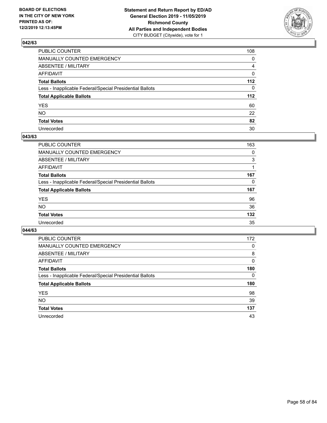

| PUBLIC COUNTER                                           | 108          |
|----------------------------------------------------------|--------------|
| MANUALLY COUNTED EMERGENCY                               | $\mathbf{0}$ |
| ABSENTEE / MILITARY                                      | 4            |
| AFFIDAVIT                                                | $\mathbf 0$  |
| Total Ballots                                            | 112          |
| Less - Inapplicable Federal/Special Presidential Ballots | $\Omega$     |
| <b>Total Applicable Ballots</b>                          | 112          |
| YES                                                      | 60           |
| NO.                                                      | 22           |
| <b>Total Votes</b>                                       | 82           |
| Unrecorded                                               | 30           |

### **043/63**

| PUBLIC COUNTER                                           | 163      |
|----------------------------------------------------------|----------|
| MANUALLY COUNTED EMERGENCY                               | 0        |
| ABSENTEE / MILITARY                                      | 3        |
| AFFIDAVIT                                                |          |
| <b>Total Ballots</b>                                     | 167      |
| Less - Inapplicable Federal/Special Presidential Ballots | $\Omega$ |
| <b>Total Applicable Ballots</b>                          | 167      |
| <b>YES</b>                                               | 96       |
| <b>NO</b>                                                | 36       |
| <b>Total Votes</b>                                       | 132      |
| Unrecorded                                               | 35       |

| <b>PUBLIC COUNTER</b>                                    | 172      |
|----------------------------------------------------------|----------|
| MANUALLY COUNTED EMERGENCY                               | 0        |
| ABSENTEE / MILITARY                                      | 8        |
| AFFIDAVIT                                                | $\Omega$ |
| <b>Total Ballots</b>                                     | 180      |
| Less - Inapplicable Federal/Special Presidential Ballots | $\Omega$ |
| <b>Total Applicable Ballots</b>                          | 180      |
| <b>YES</b>                                               | 98       |
| <b>NO</b>                                                | 39       |
| <b>Total Votes</b>                                       | 137      |
| Unrecorded                                               | 43       |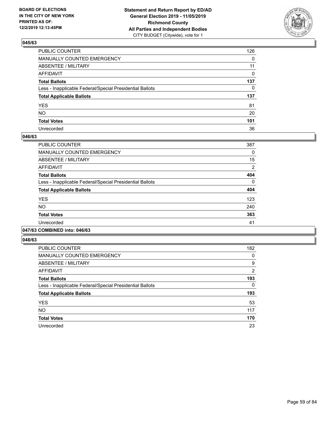

| PUBLIC COUNTER                                           | 126          |
|----------------------------------------------------------|--------------|
| MANUALLY COUNTED EMERGENCY                               | $\mathbf{0}$ |
| ABSENTEE / MILITARY                                      | 11           |
| AFFIDAVIT                                                | 0            |
| Total Ballots                                            | 137          |
| Less - Inapplicable Federal/Special Presidential Ballots | $\mathbf{0}$ |
| <b>Total Applicable Ballots</b>                          | 137          |
| YES                                                      | 81           |
| NO.                                                      | 20           |
| <b>Total Votes</b>                                       | 101          |
| Unrecorded                                               | 36           |

### **046/63**

| PUBLIC COUNTER                                           | 387      |
|----------------------------------------------------------|----------|
| <b>MANUALLY COUNTED EMERGENCY</b>                        | 0        |
| ABSENTEE / MILITARY                                      | 15       |
| <b>AFFIDAVIT</b>                                         | 2        |
| <b>Total Ballots</b>                                     | 404      |
| Less - Inapplicable Federal/Special Presidential Ballots | $\Omega$ |
| <b>Total Applicable Ballots</b>                          | 404      |
| <b>YES</b>                                               | 123      |
| NO.                                                      | 240      |
| <b>Total Votes</b>                                       | 363      |
| Unrecorded                                               | 41       |
|                                                          |          |

#### **047/63 COMBINED into: 046/63**

| <b>PUBLIC COUNTER</b>                                    | 182            |
|----------------------------------------------------------|----------------|
| <b>MANUALLY COUNTED EMERGENCY</b>                        | 0              |
| ABSENTEE / MILITARY                                      | 9              |
| <b>AFFIDAVIT</b>                                         | $\overline{2}$ |
| <b>Total Ballots</b>                                     | 193            |
| Less - Inapplicable Federal/Special Presidential Ballots | 0              |
| <b>Total Applicable Ballots</b>                          | 193            |
| <b>YES</b>                                               | 53             |
| <b>NO</b>                                                | 117            |
| <b>Total Votes</b>                                       | 170            |
| Unrecorded                                               | 23             |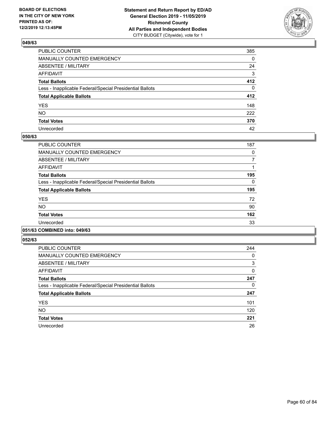

| PUBLIC COUNTER                                           | 385          |
|----------------------------------------------------------|--------------|
| MANUALLY COUNTED EMERGENCY                               | $\mathbf{0}$ |
| ABSENTEE / MILITARY                                      | 24           |
| AFFIDAVIT                                                | 3            |
| Total Ballots                                            | 412          |
| Less - Inapplicable Federal/Special Presidential Ballots | $\Omega$     |
| <b>Total Applicable Ballots</b>                          | 412          |
| YES                                                      | 148          |
| NO.                                                      | 222          |
| <b>Total Votes</b>                                       | 370          |
| Unrecorded                                               | 42           |

### **050/63**

| <b>PUBLIC COUNTER</b>                                    | 187      |
|----------------------------------------------------------|----------|
| <b>MANUALLY COUNTED EMERGENCY</b>                        | 0        |
| ABSENTEE / MILITARY                                      | 7        |
| <b>AFFIDAVIT</b>                                         |          |
| <b>Total Ballots</b>                                     | 195      |
| Less - Inapplicable Federal/Special Presidential Ballots | $\Omega$ |
| <b>Total Applicable Ballots</b>                          | 195      |
| <b>YES</b>                                               | 72       |
| <b>NO</b>                                                | 90       |
| <b>Total Votes</b>                                       | 162      |
| Unrecorded                                               | 33       |
|                                                          |          |

### **051/63 COMBINED into: 049/63**

| <b>PUBLIC COUNTER</b>                                    | 244 |
|----------------------------------------------------------|-----|
| <b>MANUALLY COUNTED EMERGENCY</b>                        | 0   |
| ABSENTEE / MILITARY                                      | 3   |
| <b>AFFIDAVIT</b>                                         | 0   |
| <b>Total Ballots</b>                                     | 247 |
| Less - Inapplicable Federal/Special Presidential Ballots | 0   |
| <b>Total Applicable Ballots</b>                          | 247 |
| <b>YES</b>                                               | 101 |
| <b>NO</b>                                                | 120 |
| <b>Total Votes</b>                                       | 221 |
| Unrecorded                                               | 26  |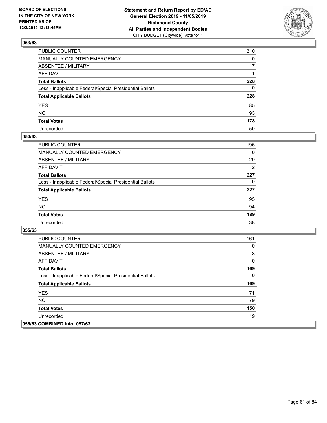

| PUBLIC COUNTER                                           | 210          |
|----------------------------------------------------------|--------------|
| MANUALLY COUNTED EMERGENCY                               | $\mathbf{0}$ |
| ABSENTEE / MILITARY                                      | 17           |
| AFFIDAVIT                                                |              |
| Total Ballots                                            | 228          |
| Less - Inapplicable Federal/Special Presidential Ballots | $\mathbf{0}$ |
| <b>Total Applicable Ballots</b>                          | 228          |
| YES                                                      | 85           |
| NO.                                                      | 93           |
| <b>Total Votes</b>                                       | 178          |
| Unrecorded                                               | 50           |

### **054/63**

| <b>PUBLIC COUNTER</b>                                    | 196            |
|----------------------------------------------------------|----------------|
| <b>MANUALLY COUNTED EMERGENCY</b>                        | $\Omega$       |
| ABSENTEE / MILITARY                                      | 29             |
| AFFIDAVIT                                                | $\overline{2}$ |
| <b>Total Ballots</b>                                     | 227            |
| Less - Inapplicable Federal/Special Presidential Ballots | 0              |
| <b>Total Applicable Ballots</b>                          | 227            |
| <b>YES</b>                                               | 95             |
| <b>NO</b>                                                | 94             |
| <b>Total Votes</b>                                       | 189            |
| Unrecorded                                               | 38             |

| <b>PUBLIC COUNTER</b>                                    | 161      |
|----------------------------------------------------------|----------|
| <b>MANUALLY COUNTED EMERGENCY</b>                        | 0        |
| ABSENTEE / MILITARY                                      | 8        |
| AFFIDAVIT                                                | 0        |
| <b>Total Ballots</b>                                     | 169      |
| Less - Inapplicable Federal/Special Presidential Ballots | $\Omega$ |
| <b>Total Applicable Ballots</b>                          | 169      |
| <b>YES</b>                                               | 71       |
| NO.                                                      | 79       |
| <b>Total Votes</b>                                       | 150      |
| Unrecorded                                               | 19       |
| 056/63 COMBINED into: 057/63                             |          |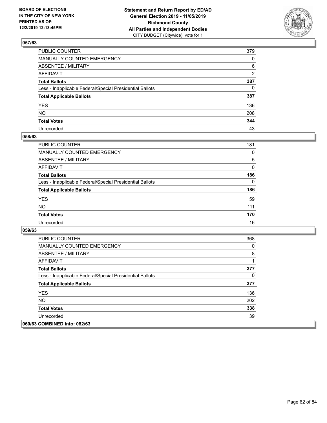

| PUBLIC COUNTER                                           | 379      |
|----------------------------------------------------------|----------|
| MANUALLY COUNTED EMERGENCY                               | 0        |
| ABSENTEE / MILITARY                                      | 6        |
| AFFIDAVIT                                                | 2        |
| Total Ballots                                            | 387      |
| Less - Inapplicable Federal/Special Presidential Ballots | $\Omega$ |
| <b>Total Applicable Ballots</b>                          | 387      |
| YES                                                      | 136      |
| NO.                                                      | 208      |
| <b>Total Votes</b>                                       | 344      |
| Unrecorded                                               | 43       |

### **058/63**

| <b>PUBLIC COUNTER</b>                                    | 181      |
|----------------------------------------------------------|----------|
| <b>MANUALLY COUNTED EMERGENCY</b>                        | $\Omega$ |
| ABSENTEE / MILITARY                                      | 5        |
| AFFIDAVIT                                                | $\Omega$ |
| <b>Total Ballots</b>                                     | 186      |
| Less - Inapplicable Federal/Special Presidential Ballots | $\Omega$ |
| <b>Total Applicable Ballots</b>                          | 186      |
| <b>YES</b>                                               | 59       |
| <b>NO</b>                                                | 111      |
| <b>Total Votes</b>                                       | 170      |
| Unrecorded                                               | 16       |

| <b>PUBLIC COUNTER</b>                                    | 368      |
|----------------------------------------------------------|----------|
| <b>MANUALLY COUNTED EMERGENCY</b>                        | $\Omega$ |
| ABSENTEE / MILITARY                                      | 8        |
| AFFIDAVIT                                                |          |
| <b>Total Ballots</b>                                     | 377      |
| Less - Inapplicable Federal/Special Presidential Ballots | $\Omega$ |
| <b>Total Applicable Ballots</b>                          | 377      |
| <b>YES</b>                                               | 136      |
| NO.                                                      | 202      |
| <b>Total Votes</b>                                       | 338      |
| Unrecorded                                               | 39       |
| 060/63 COMBINED into: 082/63                             |          |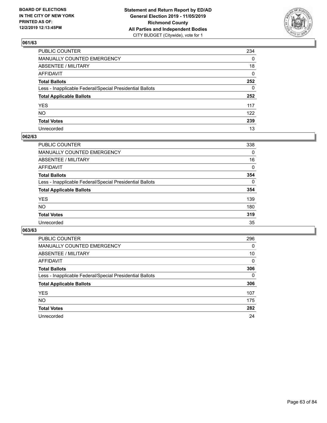

| PUBLIC COUNTER                                           | 234 |
|----------------------------------------------------------|-----|
| MANUALLY COUNTED EMERGENCY                               | 0   |
| ABSENTEE / MILITARY                                      | 18  |
| AFFIDAVIT                                                | 0   |
| Total Ballots                                            | 252 |
| Less - Inapplicable Federal/Special Presidential Ballots | 0   |
| <b>Total Applicable Ballots</b>                          | 252 |
| YES                                                      | 117 |
| NΟ                                                       | 122 |
| <b>Total Votes</b>                                       | 239 |
| Unrecorded                                               | 13  |

### **062/63**

| <b>PUBLIC COUNTER</b>                                    | 338      |
|----------------------------------------------------------|----------|
| <b>MANUALLY COUNTED EMERGENCY</b>                        | 0        |
| ABSENTEE / MILITARY                                      | 16       |
| AFFIDAVIT                                                | 0        |
| <b>Total Ballots</b>                                     | 354      |
| Less - Inapplicable Federal/Special Presidential Ballots | $\Omega$ |
| <b>Total Applicable Ballots</b>                          | 354      |
| <b>YES</b>                                               | 139      |
| <b>NO</b>                                                | 180      |
| <b>Total Votes</b>                                       | 319      |
| Unrecorded                                               | 35       |

| <b>PUBLIC COUNTER</b>                                    | 296 |
|----------------------------------------------------------|-----|
| MANUALLY COUNTED EMERGENCY                               | 0   |
| ABSENTEE / MILITARY                                      | 10  |
| AFFIDAVIT                                                | 0   |
| <b>Total Ballots</b>                                     | 306 |
| Less - Inapplicable Federal/Special Presidential Ballots | 0   |
| <b>Total Applicable Ballots</b>                          | 306 |
| <b>YES</b>                                               | 107 |
| NO.                                                      | 175 |
| <b>Total Votes</b>                                       | 282 |
| Unrecorded                                               | 24  |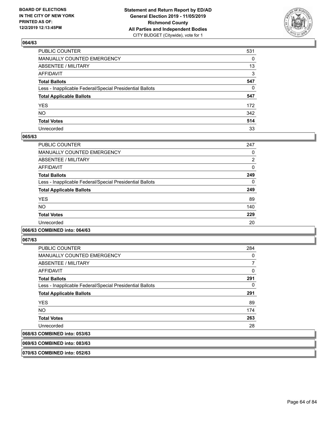

| PUBLIC COUNTER                                           | 531 |
|----------------------------------------------------------|-----|
| MANUALLY COUNTED EMERGENCY                               | 0   |
| ABSENTEE / MILITARY                                      | 13  |
| AFFIDAVIT                                                | 3   |
| Total Ballots                                            | 547 |
| Less - Inapplicable Federal/Special Presidential Ballots | 0   |
| <b>Total Applicable Ballots</b>                          | 547 |
| YES                                                      | 172 |
| NO.                                                      | 342 |
| <b>Total Votes</b>                                       | 514 |
| Unrecorded                                               | 33  |

### **065/63**

| <b>PUBLIC COUNTER</b>                                    | 247            |
|----------------------------------------------------------|----------------|
| <b>MANUALLY COUNTED EMERGENCY</b>                        | 0              |
| ABSENTEE / MILITARY                                      | $\overline{2}$ |
| <b>AFFIDAVIT</b>                                         | 0              |
| <b>Total Ballots</b>                                     | 249            |
| Less - Inapplicable Federal/Special Presidential Ballots | $\Omega$       |
| <b>Total Applicable Ballots</b>                          | 249            |
| <b>YES</b>                                               | 89             |
| <b>NO</b>                                                | 140            |
| <b>Total Votes</b>                                       | 229            |
| Unrecorded                                               | 20             |
|                                                          |                |

### **066/63 COMBINED into: 064/63**

**067/63** 

| <b>PUBLIC COUNTER</b>                                    | 284 |
|----------------------------------------------------------|-----|
| <b>MANUALLY COUNTED EMERGENCY</b>                        | 0   |
| ABSENTEE / MILITARY                                      | 7   |
| AFFIDAVIT                                                | 0   |
| <b>Total Ballots</b>                                     | 291 |
| Less - Inapplicable Federal/Special Presidential Ballots | 0   |
| <b>Total Applicable Ballots</b>                          | 291 |
| <b>YES</b>                                               | 89  |
| NO.                                                      | 174 |
| <b>Total Votes</b>                                       | 263 |
| Unrecorded                                               | 28  |
| 068/63 COMBINED into: 053/63                             |     |

**069/63 COMBINED into: 083/63**

**070/63 COMBINED into: 052/63**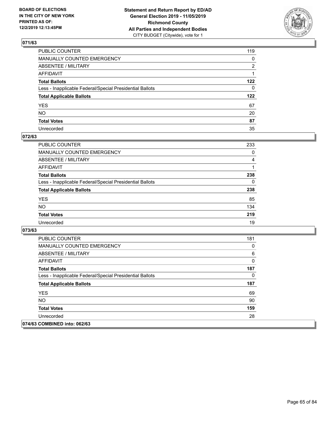

| PUBLIC COUNTER                                           | 119          |
|----------------------------------------------------------|--------------|
| MANUALLY COUNTED EMERGENCY                               | 0            |
| ABSENTEE / MILITARY                                      | 2            |
| AFFIDAVIT                                                |              |
| Total Ballots                                            | 122          |
| Less - Inapplicable Federal/Special Presidential Ballots | $\mathbf{0}$ |
| <b>Total Applicable Ballots</b>                          | 122          |
| YES                                                      | 67           |
| NO.                                                      | 20           |
| <b>Total Votes</b>                                       | 87           |
| Unrecorded                                               | 35           |

### **072/63**

| <b>PUBLIC COUNTER</b>                                    | 233      |
|----------------------------------------------------------|----------|
| <b>MANUALLY COUNTED EMERGENCY</b>                        | $\Omega$ |
| ABSENTEE / MILITARY                                      | 4        |
| AFFIDAVIT                                                |          |
| <b>Total Ballots</b>                                     | 238      |
| Less - Inapplicable Federal/Special Presidential Ballots | $\Omega$ |
| <b>Total Applicable Ballots</b>                          | 238      |
| <b>YES</b>                                               | 85       |
| <b>NO</b>                                                | 134      |
| <b>Total Votes</b>                                       | 219      |
| Unrecorded                                               | 19       |

| <b>PUBLIC COUNTER</b>                                    | 181 |
|----------------------------------------------------------|-----|
| <b>MANUALLY COUNTED EMERGENCY</b>                        | 0   |
| ABSENTEE / MILITARY                                      | 6   |
| AFFIDAVIT                                                | 0   |
| <b>Total Ballots</b>                                     | 187 |
| Less - Inapplicable Federal/Special Presidential Ballots | 0   |
| <b>Total Applicable Ballots</b>                          | 187 |
| <b>YES</b>                                               | 69  |
| NO.                                                      | 90  |
| <b>Total Votes</b>                                       | 159 |
| Unrecorded                                               | 28  |
| 074/63 COMBINED into: 062/63                             |     |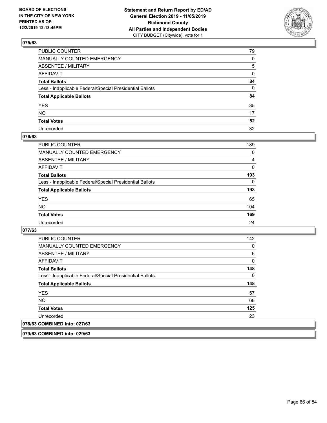

| PUBLIC COUNTER                                           | 79 |
|----------------------------------------------------------|----|
| MANUALLY COUNTED EMERGENCY                               | 0  |
| ABSENTEE / MILITARY                                      | 5  |
| AFFIDAVIT                                                | 0  |
| Total Ballots                                            | 84 |
| Less - Inapplicable Federal/Special Presidential Ballots | 0  |
| <b>Total Applicable Ballots</b>                          | 84 |
| YES                                                      | 35 |
| NO.                                                      | 17 |
| <b>Total Votes</b>                                       | 52 |
| Unrecorded                                               | 32 |

### **076/63**

| <b>PUBLIC COUNTER</b>                                    | 189      |
|----------------------------------------------------------|----------|
| MANUALLY COUNTED EMERGENCY                               | 0        |
| ABSENTEE / MILITARY                                      | 4        |
| AFFIDAVIT                                                | $\Omega$ |
| <b>Total Ballots</b>                                     | 193      |
| Less - Inapplicable Federal/Special Presidential Ballots | $\Omega$ |
| <b>Total Applicable Ballots</b>                          | 193      |
| <b>YES</b>                                               | 65       |
| <b>NO</b>                                                | 104      |
| <b>Total Votes</b>                                       | 169      |
| Unrecorded                                               | 24       |

### **077/63**

| <b>PUBLIC COUNTER</b>                                    | 142 |
|----------------------------------------------------------|-----|
| <b>MANUALLY COUNTED EMERGENCY</b>                        | 0   |
| ABSENTEE / MILITARY                                      | 6   |
| AFFIDAVIT                                                | 0   |
| <b>Total Ballots</b>                                     | 148 |
| Less - Inapplicable Federal/Special Presidential Ballots | 0   |
| <b>Total Applicable Ballots</b>                          | 148 |
| <b>YES</b>                                               | 57  |
| NO.                                                      | 68  |
| <b>Total Votes</b>                                       | 125 |
| Unrecorded                                               | 23  |
| 078/63 COMBINED into: 027/63                             |     |

**079/63 COMBINED into: 029/63**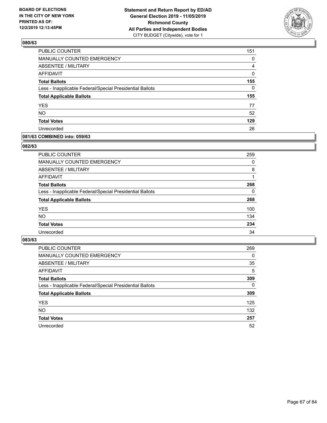

| PUBLIC COUNTER                                           | 151      |
|----------------------------------------------------------|----------|
| MANUALLY COUNTED EMERGENCY                               | 0        |
| <b>ABSENTEE / MILITARY</b>                               | 4        |
| <b>AFFIDAVIT</b>                                         | 0        |
| <b>Total Ballots</b>                                     | 155      |
| Less - Inapplicable Federal/Special Presidential Ballots | $\Omega$ |
| <b>Total Applicable Ballots</b>                          | 155      |
| <b>YES</b>                                               | 77       |
| <b>NO</b>                                                | 52       |
| <b>Total Votes</b>                                       | 129      |
|                                                          |          |

### **081/63 COMBINED into: 059/63**

#### **082/63**

| <b>PUBLIC COUNTER</b>                                    | 259      |
|----------------------------------------------------------|----------|
| <b>MANUALLY COUNTED EMERGENCY</b>                        | $\Omega$ |
| ABSENTEE / MILITARY                                      | 8        |
| AFFIDAVIT                                                |          |
| <b>Total Ballots</b>                                     | 268      |
| Less - Inapplicable Federal/Special Presidential Ballots | 0        |
| <b>Total Applicable Ballots</b>                          | 268      |
| <b>YES</b>                                               | 100      |
| <b>NO</b>                                                | 134      |
| <b>Total Votes</b>                                       | 234      |
| Unrecorded                                               | 34       |
|                                                          |          |

| <b>PUBLIC COUNTER</b>                                    | 269      |
|----------------------------------------------------------|----------|
| MANUALLY COUNTED EMERGENCY                               | $\Omega$ |
| ABSENTEE / MILITARY                                      | 35       |
| AFFIDAVIT                                                | 5        |
| <b>Total Ballots</b>                                     | 309      |
| Less - Inapplicable Federal/Special Presidential Ballots | $\Omega$ |
| <b>Total Applicable Ballots</b>                          | 309      |
| <b>YES</b>                                               | 125      |
| <b>NO</b>                                                | 132      |
| <b>Total Votes</b>                                       | 257      |
| Unrecorded                                               | 52       |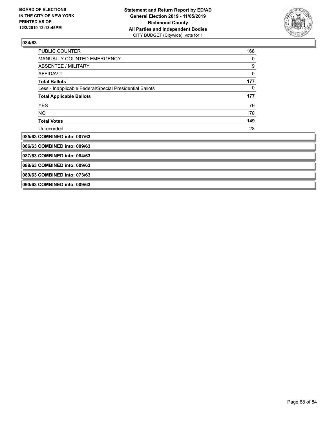

| <b>PUBLIC COUNTER</b>                                    | 168 |  |
|----------------------------------------------------------|-----|--|
| <b>MANUALLY COUNTED EMERGENCY</b>                        | 0   |  |
| ABSENTEE / MILITARY                                      | 9   |  |
| <b>AFFIDAVIT</b>                                         | 0   |  |
| <b>Total Ballots</b>                                     | 177 |  |
| Less - Inapplicable Federal/Special Presidential Ballots | 0   |  |
| <b>Total Applicable Ballots</b>                          | 177 |  |
| <b>YES</b>                                               | 79  |  |
| NO.                                                      | 70  |  |
| <b>Total Votes</b>                                       | 149 |  |
| Unrecorded                                               | 28  |  |
| 085/63 COMBINED into: 007/63                             |     |  |
| 086/63 COMBINED into: 009/63                             |     |  |
| 087/63 COMBINED into: 084/63                             |     |  |
| 088/63 COMBINED into: 009/63                             |     |  |
| 089/63 COMBINED into: 073/63                             |     |  |
| 090/63 COMBINED into: 009/63                             |     |  |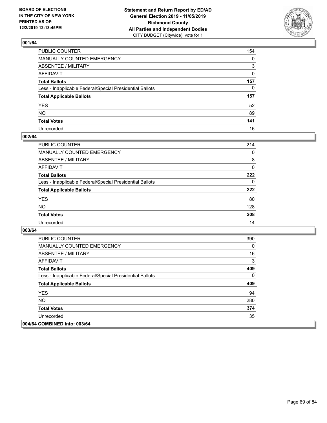

| PUBLIC COUNTER                                           | 154          |
|----------------------------------------------------------|--------------|
| MANUALLY COUNTED EMERGENCY                               | $\mathbf{0}$ |
| ABSENTEE / MILITARY                                      | 3            |
| AFFIDAVIT                                                | $\mathbf{0}$ |
| Total Ballots                                            | 157          |
| Less - Inapplicable Federal/Special Presidential Ballots | $\mathbf{0}$ |
| <b>Total Applicable Ballots</b>                          | 157          |
| YES                                                      | 52           |
| NO.                                                      | 89           |
| <b>Total Votes</b>                                       | 141          |
| Unrecorded                                               | 16           |

### **002/64**

| <b>PUBLIC COUNTER</b>                                    | 214      |
|----------------------------------------------------------|----------|
| <b>MANUALLY COUNTED EMERGENCY</b>                        | $\Omega$ |
| ABSENTEE / MILITARY                                      | 8        |
| AFFIDAVIT                                                | $\Omega$ |
| <b>Total Ballots</b>                                     | 222      |
| Less - Inapplicable Federal/Special Presidential Ballots | $\Omega$ |
| <b>Total Applicable Ballots</b>                          | 222      |
| <b>YES</b>                                               | 80       |
| <b>NO</b>                                                | 128      |
| <b>Total Votes</b>                                       | 208      |
| Unrecorded                                               | 14       |

| <b>PUBLIC COUNTER</b>                                    | 390      |
|----------------------------------------------------------|----------|
| <b>MANUALLY COUNTED EMERGENCY</b>                        | $\Omega$ |
| ABSENTEE / MILITARY                                      | 16       |
| AFFIDAVIT                                                | 3        |
| <b>Total Ballots</b>                                     | 409      |
| Less - Inapplicable Federal/Special Presidential Ballots | $\Omega$ |
| <b>Total Applicable Ballots</b>                          | 409      |
| <b>YES</b>                                               | 94       |
| NO.                                                      | 280      |
| <b>Total Votes</b>                                       | 374      |
| Unrecorded                                               | 35       |
| 004/64 COMBINED into: 003/64                             |          |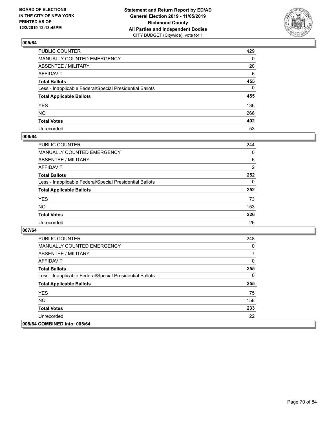

| PUBLIC COUNTER                                           | 429          |
|----------------------------------------------------------|--------------|
| MANUALLY COUNTED EMERGENCY                               | $\mathbf{0}$ |
| ABSENTEE / MILITARY                                      | 20           |
| AFFIDAVIT                                                | 6            |
| Total Ballots                                            | 455          |
| Less - Inapplicable Federal/Special Presidential Ballots | $\Omega$     |
| <b>Total Applicable Ballots</b>                          | 455          |
| YES                                                      | 136          |
| NO.                                                      | 266          |
| <b>Total Votes</b>                                       | 402          |
| Unrecorded                                               | 53           |

### **006/64**

| <b>PUBLIC COUNTER</b>                                    | 244            |
|----------------------------------------------------------|----------------|
| MANUALLY COUNTED EMERGENCY                               | $\Omega$       |
| ABSENTEE / MILITARY                                      | 6              |
| AFFIDAVIT                                                | $\overline{2}$ |
| <b>Total Ballots</b>                                     | 252            |
| Less - Inapplicable Federal/Special Presidential Ballots | $\Omega$       |
| <b>Total Applicable Ballots</b>                          | 252            |
| <b>YES</b>                                               | 73             |
| <b>NO</b>                                                | 153            |
| <b>Total Votes</b>                                       | 226            |
| Unrecorded                                               | 26             |

| <b>PUBLIC COUNTER</b>                                    | 248      |
|----------------------------------------------------------|----------|
| <b>MANUALLY COUNTED EMERGENCY</b>                        | 0        |
| ABSENTEE / MILITARY                                      | 7        |
| AFFIDAVIT                                                | 0        |
| <b>Total Ballots</b>                                     | 255      |
| Less - Inapplicable Federal/Special Presidential Ballots | $\Omega$ |
| <b>Total Applicable Ballots</b>                          | 255      |
| <b>YES</b>                                               | 75       |
| <b>NO</b>                                                | 158      |
| <b>Total Votes</b>                                       | 233      |
| Unrecorded                                               | 22       |
| 008/64 COMBINED into: 005/64                             |          |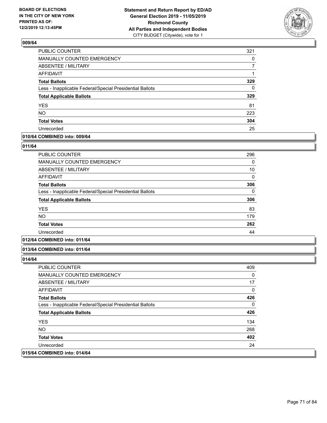

| PUBLIC COUNTER                                           | 321 |
|----------------------------------------------------------|-----|
| MANUALLY COUNTED EMERGENCY                               | 0   |
| <b>ABSENTEE / MILITARY</b>                               |     |
| <b>AFFIDAVIT</b>                                         |     |
| <b>Total Ballots</b>                                     | 329 |
| Less - Inapplicable Federal/Special Presidential Ballots | 0   |
| <b>Total Applicable Ballots</b>                          | 329 |
| <b>YES</b>                                               | 81  |
| <b>NO</b>                                                | 223 |
| <b>Total Votes</b>                                       | 304 |
| Unrecorded                                               | 25  |

### **010/64 COMBINED into: 009/64**

#### **011/64**

| <b>PUBLIC COUNTER</b>                                    | 296          |
|----------------------------------------------------------|--------------|
| <b>MANUALLY COUNTED EMERGENCY</b>                        | 0            |
| ABSENTEE / MILITARY                                      | 10           |
| AFFIDAVIT                                                | $\mathbf{0}$ |
| <b>Total Ballots</b>                                     | 306          |
| Less - Inapplicable Federal/Special Presidential Ballots | 0            |
| <b>Total Applicable Ballots</b>                          | 306          |
| <b>YES</b>                                               | 83           |
| <b>NO</b>                                                | 179          |
| <b>Total Votes</b>                                       | 262          |
| Unrecorded                                               | 44           |

## **012/64 COMBINED into: 011/64**

#### **013/64 COMBINED into: 011/64**

| <b>PUBLIC COUNTER</b>                                    | 409 |
|----------------------------------------------------------|-----|
| <b>MANUALLY COUNTED EMERGENCY</b>                        | 0   |
| ABSENTEE / MILITARY                                      | 17  |
| AFFIDAVIT                                                | 0   |
| <b>Total Ballots</b>                                     | 426 |
| Less - Inapplicable Federal/Special Presidential Ballots | 0   |
| <b>Total Applicable Ballots</b>                          | 426 |
| <b>YES</b>                                               | 134 |
| NO.                                                      | 268 |
| <b>Total Votes</b>                                       | 402 |
| Unrecorded                                               | 24  |
| 015/64 COMBINED into: 014/64                             |     |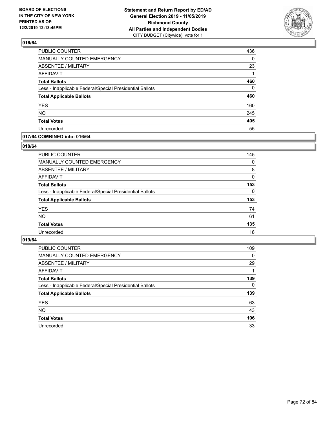

| PUBLIC COUNTER                                           | 436 |
|----------------------------------------------------------|-----|
| <b>MANUALLY COUNTED EMERGENCY</b>                        | 0   |
| <b>ABSENTEE / MILITARY</b>                               | 23  |
| <b>AFFIDAVIT</b>                                         | 1   |
| <b>Total Ballots</b>                                     | 460 |
| Less - Inapplicable Federal/Special Presidential Ballots | 0   |
| <b>Total Applicable Ballots</b>                          | 460 |
| <b>YES</b>                                               | 160 |
| <b>NO</b>                                                | 245 |
| <b>Total Votes</b>                                       | 405 |
| Unrecorded                                               | 55  |

### **017/64 COMBINED into: 016/64**

### **018/64**

| <b>PUBLIC COUNTER</b>                                    | 145          |
|----------------------------------------------------------|--------------|
| MANUALLY COUNTED EMERGENCY                               | 0            |
| ABSENTEE / MILITARY                                      | 8            |
| AFFIDAVIT                                                | $\mathbf{0}$ |
| <b>Total Ballots</b>                                     | 153          |
| Less - Inapplicable Federal/Special Presidential Ballots | $\Omega$     |
| <b>Total Applicable Ballots</b>                          | 153          |
| <b>YES</b>                                               | 74           |
| <b>NO</b>                                                | 61           |
| <b>Total Votes</b>                                       | 135          |
| Unrecorded                                               | 18           |

| <b>PUBLIC COUNTER</b>                                    | 109      |
|----------------------------------------------------------|----------|
| MANUALLY COUNTED EMERGENCY                               | $\Omega$ |
| ABSENTEE / MILITARY                                      | 29       |
| AFFIDAVIT                                                |          |
| <b>Total Ballots</b>                                     | 139      |
| Less - Inapplicable Federal/Special Presidential Ballots | $\Omega$ |
| <b>Total Applicable Ballots</b>                          | 139      |
| <b>YES</b>                                               | 63       |
| <b>NO</b>                                                | 43       |
| <b>Total Votes</b>                                       | 106      |
| Unrecorded                                               | 33       |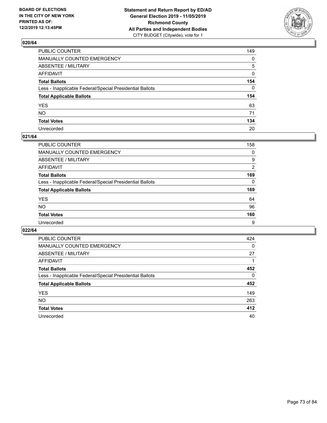

| PUBLIC COUNTER                                           | 149          |
|----------------------------------------------------------|--------------|
| MANUALLY COUNTED EMERGENCY                               | $\mathbf{0}$ |
| ABSENTEE / MILITARY                                      | 5            |
| AFFIDAVIT                                                | 0            |
| Total Ballots                                            | 154          |
| Less - Inapplicable Federal/Special Presidential Ballots | $\Omega$     |
| <b>Total Applicable Ballots</b>                          | 154          |
| YES                                                      | 63           |
| NO.                                                      | 71           |
| <b>Total Votes</b>                                       | 134          |
| Unrecorded                                               | 20           |

### **021/64**

| <b>PUBLIC COUNTER</b>                                    | 158      |
|----------------------------------------------------------|----------|
| <b>MANUALLY COUNTED EMERGENCY</b>                        | $\Omega$ |
| ABSENTEE / MILITARY                                      | 9        |
| AFFIDAVIT                                                | 2        |
| <b>Total Ballots</b>                                     | 169      |
| Less - Inapplicable Federal/Special Presidential Ballots | $\Omega$ |
| <b>Total Applicable Ballots</b>                          | 169      |
| <b>YES</b>                                               | 64       |
| <b>NO</b>                                                | 96       |
| <b>Total Votes</b>                                       | 160      |
| Unrecorded                                               | 9        |

| PUBLIC COUNTER                                           | 424      |
|----------------------------------------------------------|----------|
| <b>MANUALLY COUNTED EMERGENCY</b>                        | 0        |
| ABSENTEE / MILITARY                                      | 27       |
| AFFIDAVIT                                                |          |
| <b>Total Ballots</b>                                     | 452      |
| Less - Inapplicable Federal/Special Presidential Ballots | $\Omega$ |
| <b>Total Applicable Ballots</b>                          | 452      |
| <b>YES</b>                                               | 149      |
| <b>NO</b>                                                | 263      |
| <b>Total Votes</b>                                       | 412      |
| Unrecorded                                               | 40       |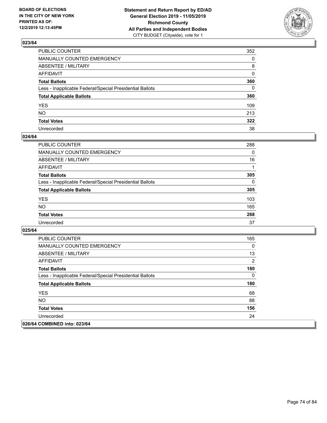

| PUBLIC COUNTER                                           | 352          |
|----------------------------------------------------------|--------------|
| MANUALLY COUNTED EMERGENCY                               | $\mathbf{0}$ |
| ABSENTEE / MILITARY                                      | 8            |
| AFFIDAVIT                                                | $\mathbf{0}$ |
| Total Ballots                                            | 360          |
| Less - Inapplicable Federal/Special Presidential Ballots | $\mathbf{0}$ |
| <b>Total Applicable Ballots</b>                          | 360          |
| YES                                                      | 109          |
| NO.                                                      | 213          |
| <b>Total Votes</b>                                       | 322          |
| Unrecorded                                               | 38           |

### **024/64**

| PUBLIC COUNTER                                           | 288      |
|----------------------------------------------------------|----------|
| <b>MANUALLY COUNTED EMERGENCY</b>                        | $\Omega$ |
| ABSENTEE / MILITARY                                      | 16       |
| <b>AFFIDAVIT</b>                                         |          |
| <b>Total Ballots</b>                                     | 305      |
| Less - Inapplicable Federal/Special Presidential Ballots | $\Omega$ |
| <b>Total Applicable Ballots</b>                          | 305      |
| <b>YES</b>                                               | 103      |
| <b>NO</b>                                                | 165      |
| <b>Total Votes</b>                                       | 268      |
| Unrecorded                                               | 37       |

| <b>PUBLIC COUNTER</b>                                    | 165      |
|----------------------------------------------------------|----------|
| <b>MANUALLY COUNTED EMERGENCY</b>                        | $\Omega$ |
| ABSENTEE / MILITARY                                      | 13       |
| AFFIDAVIT                                                | 2        |
| <b>Total Ballots</b>                                     | 180      |
| Less - Inapplicable Federal/Special Presidential Ballots | 0        |
| <b>Total Applicable Ballots</b>                          | 180      |
| <b>YES</b>                                               | 68       |
| NO.                                                      | 88       |
| <b>Total Votes</b>                                       | 156      |
| Unrecorded                                               | 24       |
| 026/64 COMBINED into: 023/64                             |          |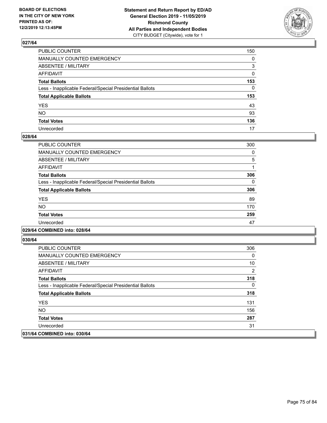

| PUBLIC COUNTER                                           | 150          |
|----------------------------------------------------------|--------------|
| MANUALLY COUNTED EMERGENCY                               | $\mathbf{0}$ |
| ABSENTEE / MILITARY                                      | 3            |
| AFFIDAVIT                                                | $\mathbf{0}$ |
| Total Ballots                                            | 153          |
| Less - Inapplicable Federal/Special Presidential Ballots | $\mathbf{0}$ |
| <b>Total Applicable Ballots</b>                          | 153          |
| YES                                                      | 43           |
| NO.                                                      | 93           |
| <b>Total Votes</b>                                       | 136          |
| Unrecorded                                               | 17           |

### **028/64**

| PUBLIC COUNTER                                           | 300 |
|----------------------------------------------------------|-----|
| MANUALLY COUNTED EMERGENCY                               | 0   |
| ABSENTEE / MILITARY                                      | 5   |
| AFFIDAVIT                                                |     |
| <b>Total Ballots</b>                                     | 306 |
| Less - Inapplicable Federal/Special Presidential Ballots | 0   |
| <b>Total Applicable Ballots</b>                          | 306 |
| <b>YES</b>                                               | 89  |
| NO.                                                      | 170 |
| <b>Total Votes</b>                                       | 259 |
| Unrecorded                                               | 47  |
|                                                          |     |

### **029/64 COMBINED into: 028/64**

| <b>PUBLIC COUNTER</b>                                    | 306 |
|----------------------------------------------------------|-----|
| <b>MANUALLY COUNTED EMERGENCY</b>                        | 0   |
| ABSENTEE / MILITARY                                      | 10  |
| AFFIDAVIT                                                | 2   |
| <b>Total Ballots</b>                                     | 318 |
| Less - Inapplicable Federal/Special Presidential Ballots | 0   |
| <b>Total Applicable Ballots</b>                          | 318 |
| <b>YES</b>                                               | 131 |
| NO.                                                      | 156 |
| <b>Total Votes</b>                                       | 287 |
| Unrecorded                                               | 31  |
| 031/64 COMBINED into: 030/64                             |     |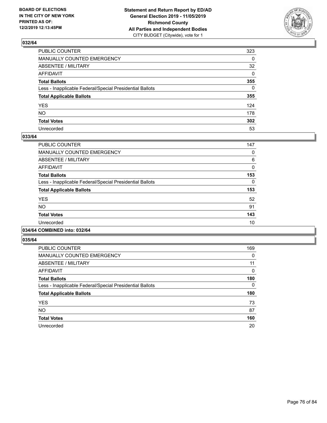

| PUBLIC COUNTER                                           | 323 |
|----------------------------------------------------------|-----|
| MANUALLY COUNTED EMERGENCY                               | 0   |
| ABSENTEE / MILITARY                                      | 32  |
| AFFIDAVIT                                                | 0   |
| Total Ballots                                            | 355 |
| Less - Inapplicable Federal/Special Presidential Ballots | 0   |
| <b>Total Applicable Ballots</b>                          | 355 |
| YES                                                      | 124 |
| NO.                                                      | 178 |
| <b>Total Votes</b>                                       | 302 |
| Unrecorded                                               | 53  |

### **033/64**

| PUBLIC COUNTER                                           | 147      |
|----------------------------------------------------------|----------|
| <b>MANUALLY COUNTED EMERGENCY</b>                        | 0        |
| ABSENTEE / MILITARY                                      | 6        |
| <b>AFFIDAVIT</b>                                         | 0        |
| <b>Total Ballots</b>                                     | 153      |
| Less - Inapplicable Federal/Special Presidential Ballots | $\Omega$ |
| <b>Total Applicable Ballots</b>                          | 153      |
| <b>YES</b>                                               | 52       |
| <b>NO</b>                                                | 91       |
| <b>Total Votes</b>                                       | 143      |
| Unrecorded                                               | 10       |
|                                                          |          |

### **034/64 COMBINED into: 032/64**

| PUBLIC COUNTER                                           | 169 |
|----------------------------------------------------------|-----|
| <b>MANUALLY COUNTED EMERGENCY</b>                        | 0   |
| <b>ABSENTEE / MILITARY</b>                               | 11  |
| <b>AFFIDAVIT</b>                                         | 0   |
| <b>Total Ballots</b>                                     | 180 |
| Less - Inapplicable Federal/Special Presidential Ballots | 0   |
| <b>Total Applicable Ballots</b>                          | 180 |
| <b>YES</b>                                               | 73  |
| <b>NO</b>                                                | 87  |
| <b>Total Votes</b>                                       | 160 |
| Unrecorded                                               | 20  |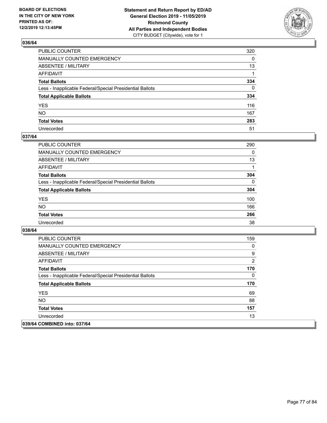

| PUBLIC COUNTER                                           | 320      |
|----------------------------------------------------------|----------|
| MANUALLY COUNTED EMERGENCY                               | $\Omega$ |
| ABSENTEE / MILITARY                                      | 13       |
| AFFIDAVIT                                                |          |
| Total Ballots                                            | 334      |
| Less - Inapplicable Federal/Special Presidential Ballots | $\Omega$ |
| <b>Total Applicable Ballots</b>                          | 334      |
| YES                                                      | 116      |
| NΟ                                                       | 167      |
| <b>Total Votes</b>                                       | 283      |
| Unrecorded                                               | 51       |

### **037/64**

| PUBLIC COUNTER                                           | 290      |
|----------------------------------------------------------|----------|
| <b>MANUALLY COUNTED EMERGENCY</b>                        | 0        |
| <b>ABSENTEE / MILITARY</b>                               | 13       |
| <b>AFFIDAVIT</b>                                         |          |
| <b>Total Ballots</b>                                     | 304      |
| Less - Inapplicable Federal/Special Presidential Ballots | $\Omega$ |
| <b>Total Applicable Ballots</b>                          | 304      |
| <b>YES</b>                                               | 100      |
| <b>NO</b>                                                | 166      |
| <b>Total Votes</b>                                       | 266      |
| Unrecorded                                               | 38       |

| <b>PUBLIC COUNTER</b>                                    | 159 |
|----------------------------------------------------------|-----|
| <b>MANUALLY COUNTED EMERGENCY</b>                        | 0   |
| ABSENTEE / MILITARY                                      | 9   |
| AFFIDAVIT                                                | 2   |
| <b>Total Ballots</b>                                     | 170 |
| Less - Inapplicable Federal/Special Presidential Ballots | 0   |
| <b>Total Applicable Ballots</b>                          | 170 |
| <b>YES</b>                                               | 69  |
| NO.                                                      | 88  |
| <b>Total Votes</b>                                       | 157 |
| Unrecorded                                               | 13  |
| 039/64 COMBINED into: 037/64                             |     |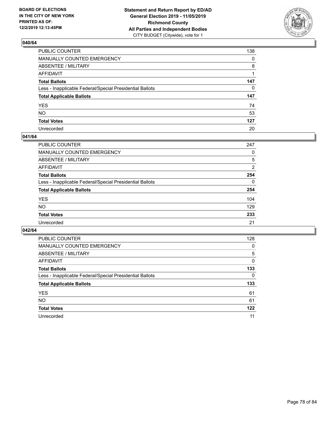

| PUBLIC COUNTER                                           | 138          |
|----------------------------------------------------------|--------------|
| MANUALLY COUNTED EMERGENCY                               | $\mathbf{0}$ |
| ABSENTEE / MILITARY                                      | 8            |
| AFFIDAVIT                                                |              |
| Total Ballots                                            | 147          |
| Less - Inapplicable Federal/Special Presidential Ballots | 0            |
| <b>Total Applicable Ballots</b>                          | 147          |
| YES                                                      | 74           |
| NO.                                                      | 53           |
| <b>Total Votes</b>                                       | 127          |
| Unrecorded                                               | 20           |

### **041/64**

| <b>PUBLIC COUNTER</b>                                    | 247            |
|----------------------------------------------------------|----------------|
| MANUALLY COUNTED EMERGENCY                               | 0              |
| ABSENTEE / MILITARY                                      | 5              |
| AFFIDAVIT                                                | $\overline{2}$ |
| <b>Total Ballots</b>                                     | 254            |
| Less - Inapplicable Federal/Special Presidential Ballots | $\Omega$       |
| <b>Total Applicable Ballots</b>                          | 254            |
| <b>YES</b>                                               | 104            |
| <b>NO</b>                                                | 129            |
| <b>Total Votes</b>                                       | 233            |
| Unrecorded                                               | 21             |

| PUBLIC COUNTER                                           | 128      |
|----------------------------------------------------------|----------|
| <b>MANUALLY COUNTED EMERGENCY</b>                        | $\Omega$ |
| ABSENTEE / MILITARY                                      | 5        |
| AFFIDAVIT                                                | 0        |
| <b>Total Ballots</b>                                     | 133      |
| Less - Inapplicable Federal/Special Presidential Ballots | $\Omega$ |
| <b>Total Applicable Ballots</b>                          | 133      |
| <b>YES</b>                                               | 61       |
| <b>NO</b>                                                | 61       |
| <b>Total Votes</b>                                       | 122      |
| Unrecorded                                               | 11       |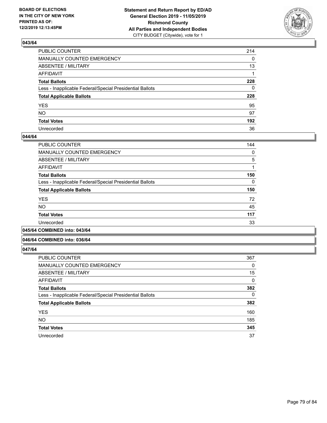

| PUBLIC COUNTER                                           | 214          |
|----------------------------------------------------------|--------------|
| MANUALLY COUNTED EMERGENCY                               | $\mathbf{0}$ |
| ABSENTEE / MILITARY                                      | 13           |
| AFFIDAVIT                                                |              |
| Total Ballots                                            | 228          |
| Less - Inapplicable Federal/Special Presidential Ballots | $\mathbf{0}$ |
| <b>Total Applicable Ballots</b>                          | 228          |
| YES                                                      | 95           |
| NO.                                                      | 97           |
| <b>Total Votes</b>                                       | 192          |
| Unrecorded                                               | 36           |

### **044/64**

| PUBLIC COUNTER                                           | 144 |
|----------------------------------------------------------|-----|
| <b>MANUALLY COUNTED EMERGENCY</b>                        | 0   |
| ABSENTEE / MILITARY                                      | 5   |
| AFFIDAVIT                                                |     |
| <b>Total Ballots</b>                                     | 150 |
| Less - Inapplicable Federal/Special Presidential Ballots | 0   |
| <b>Total Applicable Ballots</b>                          | 150 |
| <b>YES</b>                                               | 72  |
| <b>NO</b>                                                | 45  |
| <b>Total Votes</b>                                       | 117 |
| Unrecorded                                               | 33  |
|                                                          |     |

### **045/64 COMBINED into: 043/64**

#### **046/64 COMBINED into: 036/64**

| <b>PUBLIC COUNTER</b>                                    | 367      |
|----------------------------------------------------------|----------|
| <b>MANUALLY COUNTED EMERGENCY</b>                        | 0        |
| ABSENTEE / MILITARY                                      | 15       |
| AFFIDAVIT                                                | 0        |
| <b>Total Ballots</b>                                     | 382      |
| Less - Inapplicable Federal/Special Presidential Ballots | $\Omega$ |
| <b>Total Applicable Ballots</b>                          | 382      |
| <b>YES</b>                                               | 160      |
| <b>NO</b>                                                | 185      |
| <b>Total Votes</b>                                       | 345      |
| Unrecorded                                               | 37       |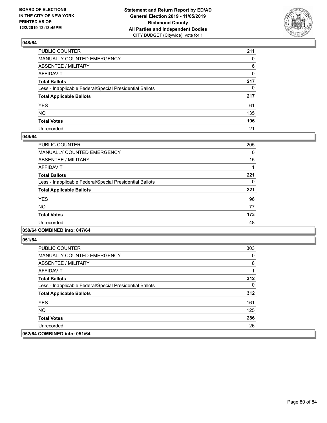

| PUBLIC COUNTER                                           | 211          |
|----------------------------------------------------------|--------------|
| MANUALLY COUNTED EMERGENCY                               | $\mathbf{0}$ |
| ABSENTEE / MILITARY                                      | 6            |
| AFFIDAVIT                                                | 0            |
| Total Ballots                                            | 217          |
| Less - Inapplicable Federal/Special Presidential Ballots | $\mathbf{0}$ |
| <b>Total Applicable Ballots</b>                          | 217          |
| YES                                                      | 61           |
| NO.                                                      | 135          |
| <b>Total Votes</b>                                       | 196          |
| Unrecorded                                               | 21           |

### **049/64**

| PUBLIC COUNTER                                           | 205 |
|----------------------------------------------------------|-----|
| <b>MANUALLY COUNTED EMERGENCY</b>                        | 0   |
| ABSENTEE / MILITARY                                      | 15  |
| AFFIDAVIT                                                |     |
| <b>Total Ballots</b>                                     | 221 |
| Less - Inapplicable Federal/Special Presidential Ballots | 0   |
| <b>Total Applicable Ballots</b>                          | 221 |
| <b>YES</b>                                               | 96  |
| NO.                                                      | 77  |
| <b>Total Votes</b>                                       | 173 |
| Unrecorded                                               | 48  |
|                                                          |     |

### **050/64 COMBINED into: 047/64**

| PUBLIC COUNTER                                           | 303 |
|----------------------------------------------------------|-----|
| <b>MANUALLY COUNTED EMERGENCY</b>                        | 0   |
| ABSENTEE / MILITARY                                      | 8   |
| AFFIDAVIT                                                |     |
| <b>Total Ballots</b>                                     | 312 |
| Less - Inapplicable Federal/Special Presidential Ballots | 0   |
| <b>Total Applicable Ballots</b>                          | 312 |
| <b>YES</b>                                               | 161 |
| NO.                                                      | 125 |
| <b>Total Votes</b>                                       | 286 |
| Unrecorded                                               | 26  |
| 052/64 COMBINED into: 051/64                             |     |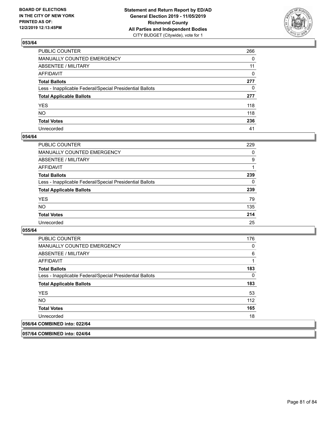

| PUBLIC COUNTER                                           | 266          |
|----------------------------------------------------------|--------------|
| MANUALLY COUNTED EMERGENCY                               | $\Omega$     |
| ABSENTEE / MILITARY                                      | 11           |
| AFFIDAVIT                                                | $\mathbf{0}$ |
| Total Ballots                                            | 277          |
| Less - Inapplicable Federal/Special Presidential Ballots | $\mathbf{0}$ |
| <b>Total Applicable Ballots</b>                          | 277          |
| YES                                                      | 118          |
| NΟ                                                       | 118          |
| <b>Total Votes</b>                                       | 236          |
| Unrecorded                                               | 41           |

### **054/64**

| <b>PUBLIC COUNTER</b>                                    | 229      |
|----------------------------------------------------------|----------|
| <b>MANUALLY COUNTED EMERGENCY</b>                        | $\Omega$ |
| ABSENTEE / MILITARY                                      | 9        |
| AFFIDAVIT                                                |          |
| <b>Total Ballots</b>                                     | 239      |
| Less - Inapplicable Federal/Special Presidential Ballots | $\Omega$ |
| <b>Total Applicable Ballots</b>                          | 239      |
| <b>YES</b>                                               | 79       |
| <b>NO</b>                                                | 135      |
| <b>Total Votes</b>                                       | 214      |
| Unrecorded                                               | 25       |

### **055/64**

| PUBLIC COUNTER                                           | 176 |
|----------------------------------------------------------|-----|
| <b>MANUALLY COUNTED EMERGENCY</b>                        | 0   |
| ABSENTEE / MILITARY                                      | 6   |
| AFFIDAVIT                                                | 1   |
| <b>Total Ballots</b>                                     | 183 |
| Less - Inapplicable Federal/Special Presidential Ballots | 0   |
| <b>Total Applicable Ballots</b>                          | 183 |
| <b>YES</b>                                               | 53  |
| <b>NO</b>                                                | 112 |
| <b>Total Votes</b>                                       | 165 |
| Unrecorded                                               | 18  |
| 056/64 COMBINED into: 022/64                             |     |

**057/64 COMBINED into: 024/64**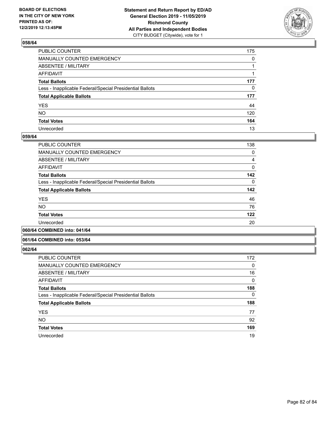

| PUBLIC COUNTER                                           | 175          |
|----------------------------------------------------------|--------------|
| MANUALLY COUNTED EMERGENCY                               | $\mathbf{0}$ |
| ABSENTEE / MILITARY                                      |              |
| AFFIDAVIT                                                |              |
| Total Ballots                                            | 177          |
| Less - Inapplicable Federal/Special Presidential Ballots | $\mathbf{0}$ |
| <b>Total Applicable Ballots</b>                          | 177          |
| YES                                                      | 44           |
| NO.                                                      | 120          |
| <b>Total Votes</b>                                       | 164          |
| Unrecorded                                               | 13           |

### **059/64**

| PUBLIC COUNTER                                           | 138      |
|----------------------------------------------------------|----------|
| MANUALLY COUNTED EMERGENCY                               | 0        |
| ABSENTEE / MILITARY                                      | 4        |
| AFFIDAVIT                                                | 0        |
| <b>Total Ballots</b>                                     | 142      |
| Less - Inapplicable Federal/Special Presidential Ballots | $\Omega$ |
| <b>Total Applicable Ballots</b>                          | 142      |
| <b>YES</b>                                               | 46       |
| <b>NO</b>                                                | 76       |
| <b>Total Votes</b>                                       | 122      |
| Unrecorded                                               | 20       |
|                                                          |          |

**060/64 COMBINED into: 041/64**

### **061/64 COMBINED into: 053/64**

| <b>PUBLIC COUNTER</b>                                    | 172      |
|----------------------------------------------------------|----------|
| <b>MANUALLY COUNTED EMERGENCY</b>                        | 0        |
| ABSENTEE / MILITARY                                      | 16       |
| AFFIDAVIT                                                | 0        |
| <b>Total Ballots</b>                                     | 188      |
| Less - Inapplicable Federal/Special Presidential Ballots | $\Omega$ |
| <b>Total Applicable Ballots</b>                          | 188      |
| <b>YES</b>                                               | 77       |
| <b>NO</b>                                                | 92       |
| <b>Total Votes</b>                                       | 169      |
| Unrecorded                                               | 19       |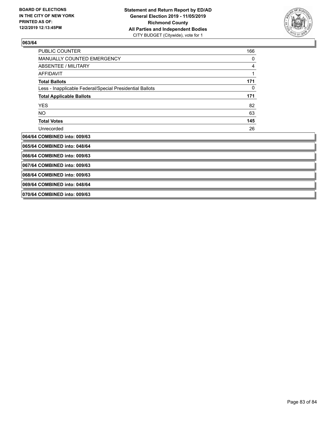

| <b>PUBLIC COUNTER</b>                                    | 166 |
|----------------------------------------------------------|-----|
| MANUALLY COUNTED EMERGENCY                               | 0   |
| ABSENTEE / MILITARY                                      | 4   |
| <b>AFFIDAVIT</b>                                         |     |
| <b>Total Ballots</b>                                     | 171 |
| Less - Inapplicable Federal/Special Presidential Ballots | 0   |
| <b>Total Applicable Ballots</b>                          | 171 |
| <b>YES</b>                                               | 82  |
| NO.                                                      | 63  |
| <b>Total Votes</b>                                       | 145 |
| Unrecorded                                               | 26  |
| 064/64 COMBINED into: 009/63                             |     |
| 065/64 COMBINED into: 048/64                             |     |
| 066/64 COMBINED into: 009/63                             |     |
| 067/64 COMBINED into: 009/63                             |     |
| 068/64 COMBINED into: 009/63                             |     |
| 069/64 COMBINED into: 048/64                             |     |

**070/64 COMBINED into: 009/63**